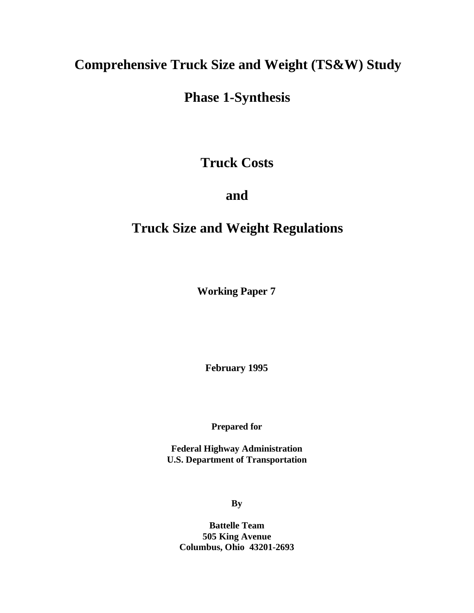# **Comprehensive Truck Size and Weight (TS&W) Study**

# **Phase 1-Synthesis**

## **Truck Costs**

## **and**

# **Truck Size and Weight Regulations**

**Working Paper 7**

**February 1995**

**Prepared for**

**Federal Highway Administration U.S. Department of Transportation**

**By**

**Battelle Team 505 King Avenue Columbus, Ohio 43201-2693**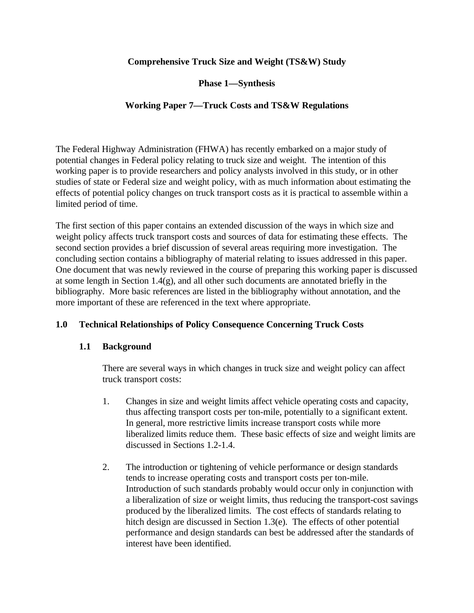## **Comprehensive Truck Size and Weight (TS&W) Study**

**Phase 1—Synthesis**

## **Working Paper 7—Truck Costs and TS&W Regulations**

The Federal Highway Administration (FHWA) has recently embarked on a major study of potential changes in Federal policy relating to truck size and weight. The intention of this working paper is to provide researchers and policy analysts involved in this study, or in other studies of state or Federal size and weight policy, with as much information about estimating the effects of potential policy changes on truck transport costs as it is practical to assemble within a limited period of time.

The first section of this paper contains an extended discussion of the ways in which size and weight policy affects truck transport costs and sources of data for estimating these effects. The second section provides a brief discussion of several areas requiring more investigation. The concluding section contains a bibliography of material relating to issues addressed in this paper. One document that was newly reviewed in the course of preparing this working paper is discussed at some length in Section 1.4(g), and all other such documents are annotated briefly in the bibliography. More basic references are listed in the bibliography without annotation, and the more important of these are referenced in the text where appropriate.

## **1.0 Technical Relationships of Policy Consequence Concerning Truck Costs**

## **1.1 Background**

There are several ways in which changes in truck size and weight policy can affect truck transport costs:

- 1. Changes in size and weight limits affect vehicle operating costs and capacity, thus affecting transport costs per ton-mile, potentially to a significant extent. In general, more restrictive limits increase transport costs while more liberalized limits reduce them. These basic effects of size and weight limits are discussed in Sections 1.2-1.4.
- 2. The introduction or tightening of vehicle performance or design standards tends to increase operating costs and transport costs per ton-mile. Introduction of such standards probably would occur only in conjunction with a liberalization of size or weight limits, thus reducing the transport-cost savings produced by the liberalized limits. The cost effects of standards relating to hitch design are discussed in Section 1.3(e). The effects of other potential performance and design standards can best be addressed after the standards of interest have been identified.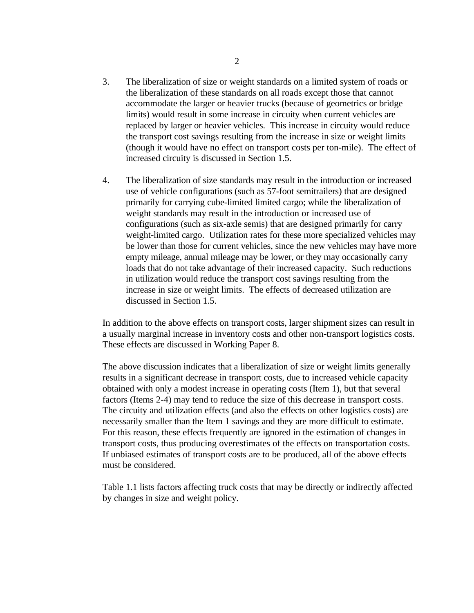- 3. The liberalization of size or weight standards on a limited system of roads or the liberalization of these standards on all roads except those that cannot accommodate the larger or heavier trucks (because of geometrics or bridge limits) would result in some increase in circuity when current vehicles are replaced by larger or heavier vehicles. This increase in circuity would reduce the transport cost savings resulting from the increase in size or weight limits (though it would have no effect on transport costs per ton-mile). The effect of increased circuity is discussed in Section 1.5.
- 4. The liberalization of size standards may result in the introduction or increased use of vehicle configurations (such as 57-foot semitrailers) that are designed primarily for carrying cube-limited limited cargo; while the liberalization of weight standards may result in the introduction or increased use of configurations (such as six-axle semis) that are designed primarily for carry weight-limited cargo. Utilization rates for these more specialized vehicles may be lower than those for current vehicles, since the new vehicles may have more empty mileage, annual mileage may be lower, or they may occasionally carry loads that do not take advantage of their increased capacity. Such reductions in utilization would reduce the transport cost savings resulting from the increase in size or weight limits. The effects of decreased utilization are discussed in Section 1.5.

In addition to the above effects on transport costs, larger shipment sizes can result in a usually marginal increase in inventory costs and other non-transport logistics costs. These effects are discussed in Working Paper 8.

The above discussion indicates that a liberalization of size or weight limits generally results in a significant decrease in transport costs, due to increased vehicle capacity obtained with only a modest increase in operating costs (Item 1), but that several factors (Items 2-4) may tend to reduce the size of this decrease in transport costs. The circuity and utilization effects (and also the effects on other logistics costs) are necessarily smaller than the Item 1 savings and they are more difficult to estimate. For this reason, these effects frequently are ignored in the estimation of changes in transport costs, thus producing overestimates of the effects on transportation costs. If unbiased estimates of transport costs are to be produced, all of the above effects must be considered.

Table 1.1 lists factors affecting truck costs that may be directly or indirectly affected by changes in size and weight policy.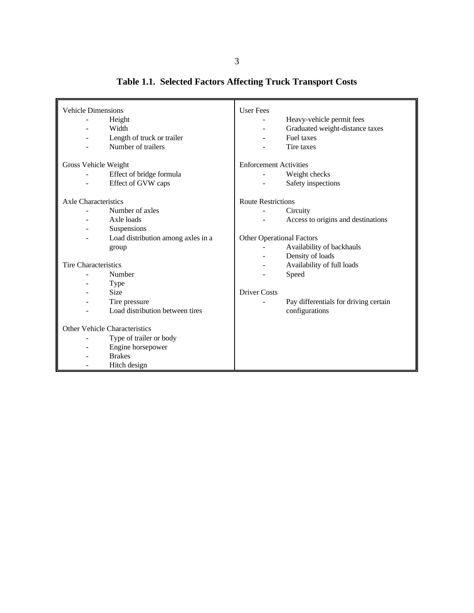| <b>Vehicle Dimensions</b>                                                                                                                                                                                            | <b>User Fees</b>                                                                                                                                                                                                    |
|----------------------------------------------------------------------------------------------------------------------------------------------------------------------------------------------------------------------|---------------------------------------------------------------------------------------------------------------------------------------------------------------------------------------------------------------------|
| Height                                                                                                                                                                                                               | Heavy-vehicle permit fees                                                                                                                                                                                           |
| $\overline{\phantom{a}}$                                                                                                                                                                                             | -                                                                                                                                                                                                                   |
| Width                                                                                                                                                                                                                | Graduated weight-distance taxes                                                                                                                                                                                     |
| ÷                                                                                                                                                                                                                    | $\overline{\phantom{0}}$                                                                                                                                                                                            |
| Length of truck or trailer                                                                                                                                                                                           | Fuel taxes                                                                                                                                                                                                          |
| -                                                                                                                                                                                                                    | $\overline{\phantom{0}}$                                                                                                                                                                                            |
| Number of trailers                                                                                                                                                                                                   | Tire taxes                                                                                                                                                                                                          |
| Gross Vehicle Weight                                                                                                                                                                                                 | <b>Enforcement Activities</b>                                                                                                                                                                                       |
| Effect of bridge formula                                                                                                                                                                                             | Weight checks                                                                                                                                                                                                       |
| Effect of GVW caps                                                                                                                                                                                                   | Safety inspections                                                                                                                                                                                                  |
| Axle Characteristics<br>Number of axles<br>Axle loads<br>Suspensions<br>$\overline{\phantom{a}}$<br>Load distribution among axles in a<br>group<br><b>Tire Characteristics</b><br>Number                             | <b>Route Restrictions</b><br>Circuity<br>Access to origins and destinations<br><b>Other Operational Factors</b><br>Availability of backhauls<br>Density of loads<br>÷.<br>Availability of full loads<br>÷,<br>Speed |
| Type<br><b>Size</b><br>۰<br>Tire pressure<br>ä,<br>Load distribution between tires<br>Other Vehicle Characteristics<br>Type of trailer or body<br>÷,<br>Engine horsepower<br>-<br><b>Brakes</b><br>-<br>Hitch design | <b>Driver Costs</b><br>Pay differentials for driving certain<br>configurations                                                                                                                                      |

**Table 1.1. Selected Factors Affecting Truck Transport Costs**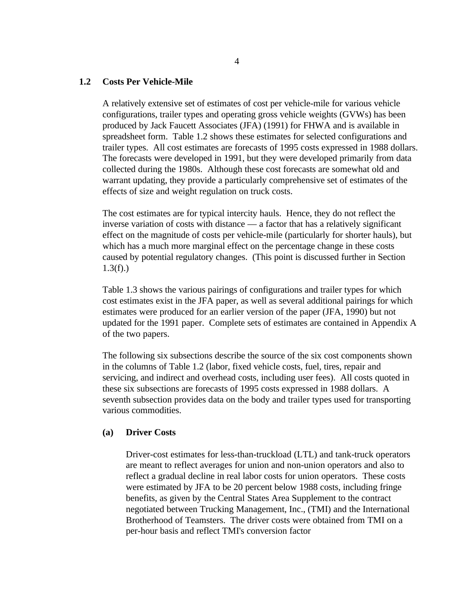#### **1.2 Costs Per Vehicle-Mile**

A relatively extensive set of estimates of cost per vehicle-mile for various vehicle configurations, trailer types and operating gross vehicle weights (GVWs) has been produced by Jack Faucett Associates (JFA) (1991) for FHWA and is available in spreadsheet form. Table 1.2 shows these estimates for selected configurations and trailer types. All cost estimates are forecasts of 1995 costs expressed in 1988 dollars. The forecasts were developed in 1991, but they were developed primarily from data collected during the 1980s. Although these cost forecasts are somewhat old and warrant updating, they provide a particularly comprehensive set of estimates of the effects of size and weight regulation on truck costs.

The cost estimates are for typical intercity hauls. Hence, they do not reflect the inverse variation of costs with distance — a factor that has a relatively significant effect on the magnitude of costs per vehicle-mile (particularly for shorter hauls), but which has a much more marginal effect on the percentage change in these costs caused by potential regulatory changes. (This point is discussed further in Section  $1.3(f)$ .)

Table 1.3 shows the various pairings of configurations and trailer types for which cost estimates exist in the JFA paper, as well as several additional pairings for which estimates were produced for an earlier version of the paper (JFA, 1990) but not updated for the 1991 paper. Complete sets of estimates are contained in Appendix A of the two papers.

The following six subsections describe the source of the six cost components shown in the columns of Table 1.2 (labor, fixed vehicle costs, fuel, tires, repair and servicing, and indirect and overhead costs, including user fees). All costs quoted in these six subsections are forecasts of 1995 costs expressed in 1988 dollars. A seventh subsection provides data on the body and trailer types used for transporting various commodities.

#### **(a) Driver Costs**

Driver-cost estimates for less-than-truckload (LTL) and tank-truck operators are meant to reflect averages for union and non-union operators and also to reflect a gradual decline in real labor costs for union operators. These costs were estimated by JFA to be 20 percent below 1988 costs, including fringe benefits, as given by the Central States Area Supplement to the contract negotiated between Trucking Management, Inc., (TMI) and the International Brotherhood of Teamsters. The driver costs were obtained from TMI on a per-hour basis and reflect TMI's conversion factor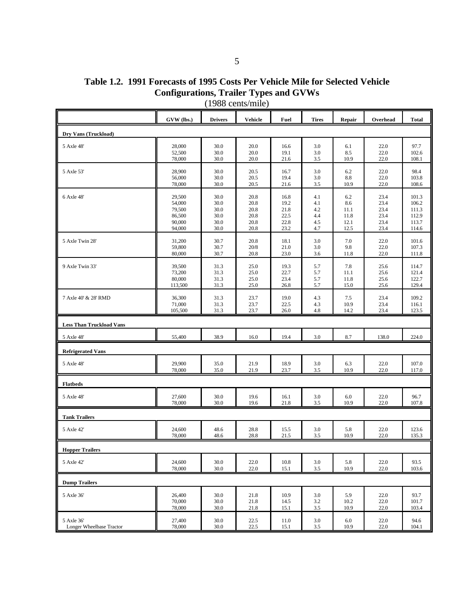| Table 1.2. 1991 Forecasts of 1995 Costs Per Vehicle Mile for Selected Vehicle |  |
|-------------------------------------------------------------------------------|--|
| <b>Configurations, Trailer Types and GVWs</b>                                 |  |

|                                 | GVW (lbs.) | <b>Drivers</b> | Vehicle | Fuel     | <b>Tires</b> | Repair | Overhead | <b>Total</b> |
|---------------------------------|------------|----------------|---------|----------|--------------|--------|----------|--------------|
| Dry Vans (Truckload)            |            |                |         |          |              |        |          |              |
| 5 Axle 48'                      | 28,000     | 30.0           | 20.0    | 16.6     | 3.0          | 6.1    | 22.0     | 97.7         |
|                                 | 52,500     | 30.0           | 20.0    | 19.1     | 3.0          | 8.5    | 22.0     | 102.6        |
|                                 | 78,000     | 30.0           | 20.0    | 21.6     | 3.5          | 10.9   | 22.0     | 108.1        |
| 5 Axle 53'                      | 28,900     | 30.0           | 20.5    | 16.7     | 3.0          | 6.2    | 22.0     | 98.4         |
|                                 | 56,000     | 30.0           | 20.5    | 19.4     | 3.0          | 8.8    | 22.0     | 103.8        |
|                                 | 78,000     | 30.0           | 20.5    | 21.6     | 3.5          | 10.9   | 22.0     | 108.6        |
| 6 Axle 48'                      | 29,500     | 30.0           | 20.8    | 16.8     | 4.1          | 6.2    | 23.4     | 101.3        |
|                                 | 54,000     | 30.0           | 20.8    | 19.2     | 4.1          | 8.6    | 23.4     | 106.2        |
|                                 | 79,500     | 30.0           | 20.8    | 21.8     | 4.2          | 11.1   | 23.4     | 111.3        |
|                                 | 86,500     | 30.0           | 20.8    | 22.5     | 4.4          | 11.8   | 23.4     | 112.9        |
|                                 | 90,000     | 30.0           | 20.8    | 22.8     | 4.5          | 12.1   | 23.4     | 113.7        |
|                                 | 94,000     | 30.0           | 20.8    | 23.2     | 4.7          | 12.5   | 23.4     | 114.6        |
| 5 Axle Twin 28'                 | 31,200     | 30.7           | 20.8    | 18.1     | 3.0          | 7.0    | 22.0     | 101.6        |
|                                 | 59,800     | 30.7           | 20/8    | 21.0     | 3.0          | 9.8    | 22.0     | 107.3        |
|                                 | 80,000     | 30.7           | 20.8    | 23.0     | 3.6          | 11.8   | 22.0     | 111.8        |
| 9 Axle Twin 33'                 | 39,500     | 31.3           | 25.0    | 19.3     | 5.7          | 7.8    | 25.6     | 114.7        |
|                                 | 73,200     | 31.3           | 25.0    | 22.7     | 5.7          | 11.1   | 25.6     | 121.4        |
|                                 | 80,000     | 31.3           | 25.0    | 23.4     | 5.7          | 11.8   | 25.6     | 122.7        |
|                                 | 113,500    | 31.3           | 25.0    | 26.8     | 5.7          | 15.0   | 25.6     | 129.4        |
| 7 Axle 40' & 28' RMD            | 36,300     | 31.3           | 23.7    | 19.0     | 4.3          | 7.5    | 23.4     | 109.2        |
|                                 | 71,000     | 31.3           | 23.7    | 22.5     | 4.3          | 10.9   | 23.4     | 116.1        |
|                                 | 105,500    | 31.3           | 23.7    | 26.0     | 4.8          | 14.2   | 23.4     | 123.5        |
| <b>Less Than Truckload Vans</b> |            |                |         |          |              |        |          |              |
| 5 Axle 48'                      | 55,400     | 38.9           | 16.0    | 19.4     | 3.0          | 8.7    | 138.0    | 224.0        |
| <b>Refrigerated Vans</b>        |            |                |         |          |              |        |          |              |
| 5 Axle 48'                      | 29,900     | 35.0           | 21.9    | 18.9     | 3.0          | 6.3    | 22.0     | 107.0        |
|                                 | 78,000     | 35.0           | 21.9    | 23.7     | 3.5          | 10.9   | 22.0     | 117.0        |
| <b>Flatbeds</b>                 |            |                |         |          |              |        |          |              |
| 5 Axle 48'                      | 27,600     | 30.0           | 19.6    | 16.1     | 3.0          | 6.0    | 22.0     | 96.7         |
|                                 | 78,000     | 30.0           | 19.6    | 21.8     | 3.5          | 10.9   | 22.0     | 107.8        |
| <b>Tank Trailers</b>            |            |                |         |          |              |        |          |              |
| 5 Axle 42'                      | 24,600     | 48.6           | 28.8    | 15.5     | 3.0          | 5.8    | 22.0     | 123.6        |
|                                 | 78,000     | 48.6           | 28.8    | 21.5     | 3.5          | 10.9   | 22.0     | 135.3        |
| <b>Hopper Trailers</b>          |            |                |         |          |              |        |          |              |
| 5 Axle 42'                      | 24,600     | $30.0\,$       | 22.0    | $10.8\,$ | $3.0\,$      | 5.8    | 22.0     | 93.5         |
|                                 | 78,000     | 30.0           | 22.0    | 15.1     | 3.5          | 10.9   | 22.0     | 103.6        |
| <b>Dump Trailers</b>            |            |                |         |          |              |        |          |              |
| 5 Axle 36'                      | 26,400     | 30.0           | 21.8    | 10.9     | 3.0          | 5.9    | 22.0     | 93.7         |
|                                 | 70,000     | 30.0           | 21.8    | 14.5     | $3.2\,$      | 10.2   | 22.0     | 101.7        |
|                                 | 78,000     | 30.0           | 21.8    | 15.1     | $3.5\,$      | 10.9   | 22.0     | 103.4        |
| 5 Axle 36'                      | 27,400     | 30.0           | 22.5    | 11.0     | $3.0\,$      | 6.0    | 22.0     | 94.6         |
| Longer Wheelbase Tractor        | 78,000     | $30.0\,$       | 22.5    | 15.1     | $3.5\,$      | 10.9   | 22.0     | 104.1        |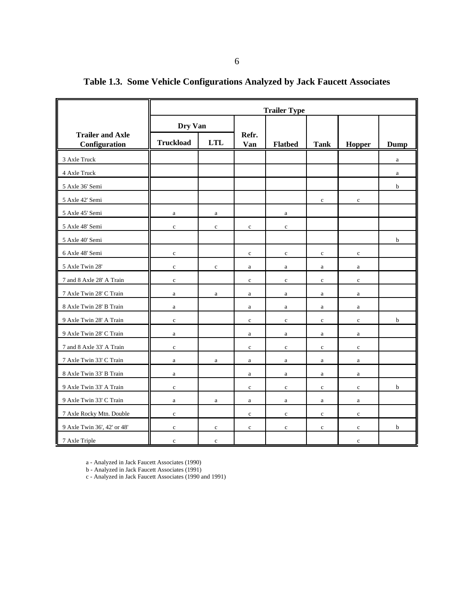|                                          | <b>Trailer Type</b> |              |              |                |              |              |              |  |  |
|------------------------------------------|---------------------|--------------|--------------|----------------|--------------|--------------|--------------|--|--|
|                                          | Dry Van             |              |              |                |              |              |              |  |  |
| <b>Trailer and Axle</b><br>Configuration | <b>Truckload</b>    | <b>LTL</b>   | Refr.<br>Van | <b>Flatbed</b> | <b>Tank</b>  | Hopper       | Dump         |  |  |
| 3 Axle Truck                             |                     |              |              |                |              |              | $\mathbf{a}$ |  |  |
| 4 Axle Truck                             |                     |              |              |                |              |              | $\rm{a}$     |  |  |
| 5 Axle 36' Semi                          |                     |              |              |                |              |              | $\mathbf b$  |  |  |
| 5 Axle 42' Semi                          |                     |              |              |                | $\mathbf c$  | $\mathbf c$  |              |  |  |
| 5 Axle 45' Semi                          | $\rm{a}$            | $\rm{a}$     |              | $\rm{a}$       |              |              |              |  |  |
| 5 Axle 48' Semi                          | $\mathbf c$         | $\mathbf{c}$ | $\mathbf{c}$ | $\mathbf{c}$   |              |              |              |  |  |
| 5 Axle 40' Semi                          |                     |              |              |                |              |              | b            |  |  |
| 6 Axle 48' Semi                          | $\mathbf c$         |              | $\mathbf c$  | $\mathbf c$    | $\mathbf c$  | $\mathbf c$  |              |  |  |
| 5 Axle Twin 28'                          | $\mathbf c$         | $\mathbf{c}$ | a            | $\mathbf{a}$   | a            | $\mathbf{a}$ |              |  |  |
| 7 and 8 Axle 28' A Train                 | $\mathbf c$         |              | $\mathbf c$  | $\mathbf c$    | $\mathbf c$  | $\mathbf c$  |              |  |  |
| 7 Axle Twin 28' C Train                  | $\rm{a}$            | a            | a            | a              | a            | $\mathbf{a}$ |              |  |  |
| 8 Axle Twin 28' B Train                  | $\rm{a}$            |              | a            | $\rm{a}$       | $\rm{a}$     | $\rm{a}$     |              |  |  |
| 9 Axle Twin 28' A Train                  | $\mathbf c$         |              | $\mathbf c$  | $\mathbf c$    | $\mathbf c$  | $\mathbf c$  | b            |  |  |
| 9 Axle Twin 28' C Train                  | $\mathbf{a}$        |              | a            | a              | a            | a            |              |  |  |
| 7 and 8 Axle 33' A Train                 | $\mathbf c$         |              | $\mathbf c$  | $\mathbf c$    | $\mathbf c$  | $\mathbf c$  |              |  |  |
| 7 Axle Twin 33' C Train                  | $\rm{a}$            | $\rm{a}$     | a            | a              | a            | $\mathbf{a}$ |              |  |  |
| 8 Axle Twin 33' B Train                  | $\rm{a}$            |              | $\rm{a}$     | a              | $\mathbf{a}$ | $\rm{a}$     |              |  |  |
| 9 Axle Twin 33' A Train                  | $\mathbf c$         |              | $\mathbf c$  | $\mathbf c$    | $\mathbf c$  | $\mathbf c$  | b            |  |  |
| 9 Axle Twin 33' C Train                  | $\rm{a}$            | $\rm{a}$     | a            | $\mathbf{a}$   | a            | $\mathbf{a}$ |              |  |  |
| 7 Axle Rocky Mtn. Double                 | $\mathbf c$         |              | $\mathbf c$  | $\mathbf c$    | $\mathbf c$  | $\mathbf c$  |              |  |  |
| 9 Axle Twin 36', 42' or 48'              | $\mathbf c$         | $\mathbf c$  | $\mathbf c$  | $\mathbf c$    | $\mathbf c$  | $\mathbf c$  | $\mathbf b$  |  |  |
| 7 Axle Triple                            | $\mathbf c$         | $\mathbf{c}$ |              |                |              | $\mathbf c$  |              |  |  |

**Table 1.3. Some Vehicle Configurations Analyzed by Jack Faucett Associates**

a - Analyzed in Jack Faucett Associates (1990)

b - Analyzed in Jack Faucett Associates (1991)

c - Analyzed in Jack Faucett Associates (1990 and 1991)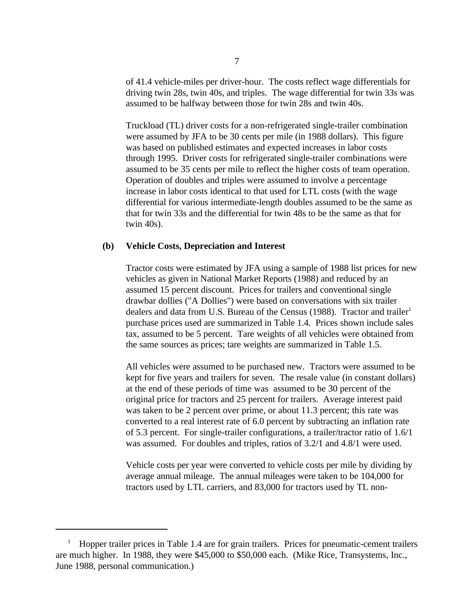of 41.4 vehicle-miles per driver-hour. The costs reflect wage differentials for driving twin 28s, twin 40s, and triples. The wage differential for twin 33s was assumed to be halfway between those for twin 28s and twin 40s.

Truckload (TL) driver costs for a non-refrigerated single-trailer combination were assumed by JFA to be 30 cents per mile (in 1988 dollars). This figure was based on published estimates and expected increases in labor costs through 1995. Driver costs for refrigerated single-trailer combinations were assumed to be 35 cents per mile to reflect the higher costs of team operation. Operation of doubles and triples were assumed to involve a percentage increase in labor costs identical to that used for LTL costs (with the wage differential for various intermediate-length doubles assumed to be the same as that for twin 33s and the differential for twin 48s to be the same as that for twin 40s).

#### **(b) Vehicle Costs, Depreciation and Interest**

Tractor costs were estimated by JFA using a sample of 1988 list prices for new vehicles as given in National Market Reports (1988) and reduced by an assumed 15 percent discount. Prices for trailers and conventional single drawbar dollies ("A Dollies") were based on conversations with six trailer dealers and data from U.S. Bureau of the Census (1988). Tractor and trailer<sup>1</sup> purchase prices used are summarized in Table 1.4. Prices shown include sales tax, assumed to be 5 percent. Tare weights of all vehicles were obtained from the same sources as prices; tare weights are summarized in Table 1.5.

All vehicles were assumed to be purchased new. Tractors were assumed to be kept for five years and trailers for seven. The resale value (in constant dollars) at the end of these periods of time was assumed to be 30 percent of the original price for tractors and 25 percent for trailers. Average interest paid was taken to be 2 percent over prime, or about 11.3 percent; this rate was converted to a real interest rate of 6.0 percent by subtracting an inflation rate of 5.3 percent. For single-trailer configurations, a trailer/tractor ratio of 1.6/1 was assumed. For doubles and triples, ratios of 3.2/1 and 4.8/1 were used.

Vehicle costs per year were converted to vehicle costs per mile by dividing by average annual mileage. The annual mileages were taken to be 104,000 for tractors used by LTL carriers, and 83,000 for tractors used by TL non-

 $\mu$  Hopper trailer prices in Table 1.4 are for grain trailers. Prices for pneumatic-cement trailers are much higher. In 1988, they were \$45,000 to \$50,000 each. (Mike Rice, Transystems, Inc., June 1988, personal communication.)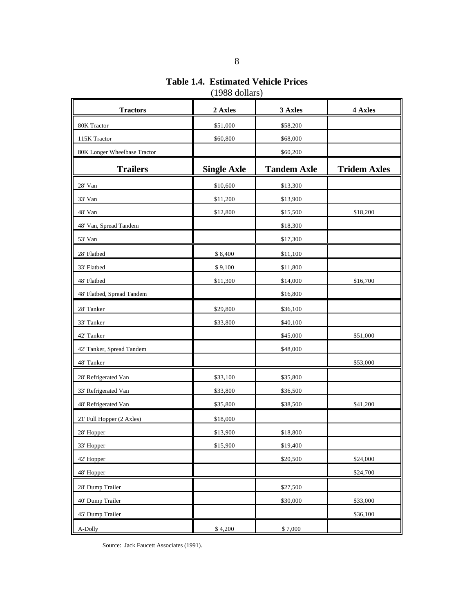**Table 1.4. Estimated Vehicle Prices** (1988 dollars)

| <b>Tractors</b>              | 2 Axles            | 3 Axles            | 4 Axles             |
|------------------------------|--------------------|--------------------|---------------------|
| 80K Tractor                  | \$51,000           | \$58,200           |                     |
| 115K Tractor                 | \$60,800           | \$68,000           |                     |
| 80K Longer Wheelbase Tractor |                    | \$60,200           |                     |
| <b>Trailers</b>              | <b>Single Axle</b> | <b>Tandem Axle</b> | <b>Tridem Axles</b> |
| 28' Van                      | \$10,600           | \$13,300           |                     |
| 33' Van                      | \$11,200           | \$13,900           |                     |
| 48' Van                      | \$12,800           | \$15,500           | \$18,200            |
| 48' Van, Spread Tandem       |                    | \$18,300           |                     |
| 53' Van                      |                    | \$17,300           |                     |
| 28' Flatbed                  | \$8,400            | \$11,100           |                     |
| 33' Flatbed                  | \$9,100            | \$11,800           |                     |
| 48' Flatbed                  | \$11,300           | \$14,000           | \$16,700            |
| 48' Flatbed, Spread Tandem   |                    | \$16,800           |                     |
| 28' Tanker                   | \$29,800           | \$36,100           |                     |
| 33' Tanker                   | \$33,800           | \$40,100           |                     |
| 42' Tanker                   |                    | \$45,000           | \$51,000            |
| 42' Tanker, Spread Tandem    |                    | \$48,000           |                     |
| 48' Tanker                   |                    |                    | \$53,000            |
| 28' Refrigerated Van         | \$33,100           | \$35,800           |                     |
| 33' Refrigerated Van         | \$33,800           | \$36,500           |                     |
| 48' Refrigerated Van         | \$35,800           | \$38,500           | \$41,200            |
| 21' Full Hopper (2 Axles)    | \$18,000           |                    |                     |
| 28' Hopper                   | \$13,900           | \$18,800           |                     |
| 33' Hopper                   | \$15,900           | \$19,400           |                     |
| 42' Hopper                   |                    | \$20,500           | \$24,000            |
| 48' Hopper                   |                    |                    | \$24,700            |
| 28' Dump Trailer             |                    | \$27,500           |                     |
| 40' Dump Trailer             |                    | \$30,000           | \$33,000            |
| 45' Dump Trailer             |                    |                    | \$36,100            |
| A-Dolly                      | \$4,200            | \$7,000            |                     |

Source: Jack Faucett Associates (1991).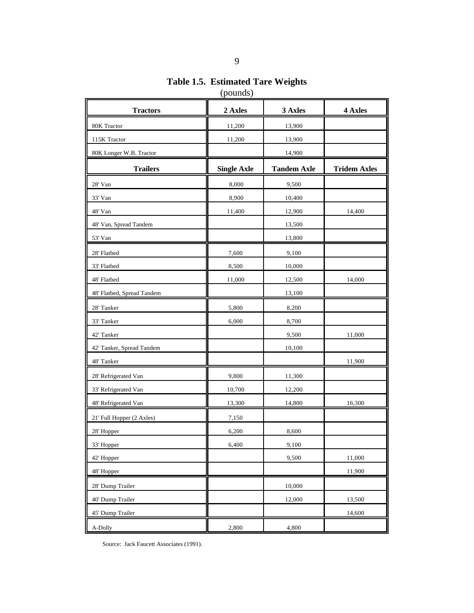**Table 1.5. Estimated Tare Weights** (pounds)

| <b>Tractors</b>            | 2 Axles            | 3 Axles            | 4 Axles             |
|----------------------------|--------------------|--------------------|---------------------|
| 80K Tractor                | 11,200             | 13,900             |                     |
| 115K Tractor               | 11,200             | 13,900             |                     |
| 80K Longer W.B. Tractor    |                    | 14,900             |                     |
| <b>Trailers</b>            | <b>Single Axle</b> | <b>Tandem Axle</b> | <b>Tridem Axles</b> |
| 28' Van                    | 8,000              | 9,500              |                     |
| 33' Van                    | 8,900              | 10,400             |                     |
| 48' Van                    | 11,400             | 12,900             | 14,400              |
| 48' Van, Spread Tandem     |                    | 13,500             |                     |
| 53' Van                    |                    | 13,800             |                     |
| 28' Flatbed                | 7,600              | 9,100              |                     |
| 33' Flatbed                | 8,500              | 10,000             |                     |
| 48' Flatbed                | 11,000             | 12,500             | 14,000              |
| 48' Flatbed, Spread Tandem |                    | 13,100             |                     |
| 28' Tanker                 | 5,800              | 8,200              |                     |
| 33' Tanker                 | 6,000              | 8,700              |                     |
| 42' Tanker                 |                    | 9,500              | 11,000              |
| 42' Tanker, Spread Tandem  |                    | 10,100             |                     |
| 48' Tanker                 |                    |                    | 11,900              |
| 28' Refrigerated Van       | 9,800              | 11,300             |                     |
| 33' Refrigerated Van       | 10,700             | 12,200             |                     |
| 48' Refrigerated Van       | 13,300             | 14,800             | 16,300              |
| 21' Full Hopper (2 Axles)  | 7,150              |                    |                     |
| 28' Hopper                 | 6,200              | 8,600              |                     |
| 33' Hopper                 | 6,400              | 9,100              |                     |
| 42' Hopper                 |                    | 9,500              | 11,000              |
| 48' Hopper                 |                    |                    | 11,900              |
| 28' Dump Trailer           |                    | 10,000             |                     |
| 40' Dump Trailer           |                    | 12,000             | 13,500              |
| 45' Dump Trailer           |                    |                    | 14,600              |
| A-Dolly                    | 2,800              | 4,800              |                     |

Source: Jack Faucett Associates (1991).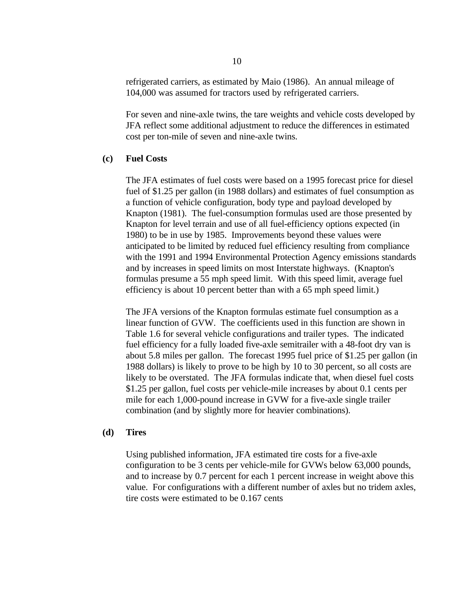refrigerated carriers, as estimated by Maio (1986). An annual mileage of 104,000 was assumed for tractors used by refrigerated carriers.

For seven and nine-axle twins, the tare weights and vehicle costs developed by JFA reflect some additional adjustment to reduce the differences in estimated cost per ton-mile of seven and nine-axle twins.

#### **(c) Fuel Costs**

The JFA estimates of fuel costs were based on a 1995 forecast price for diesel fuel of \$1.25 per gallon (in 1988 dollars) and estimates of fuel consumption as a function of vehicle configuration, body type and payload developed by Knapton (1981). The fuel-consumption formulas used are those presented by Knapton for level terrain and use of all fuel-efficiency options expected (in 1980) to be in use by 1985. Improvements beyond these values were anticipated to be limited by reduced fuel efficiency resulting from compliance with the 1991 and 1994 Environmental Protection Agency emissions standards and by increases in speed limits on most Interstate highways. (Knapton's formulas presume a 55 mph speed limit. With this speed limit, average fuel efficiency is about 10 percent better than with a 65 mph speed limit.)

The JFA versions of the Knapton formulas estimate fuel consumption as a linear function of GVW. The coefficients used in this function are shown in Table 1.6 for several vehicle configurations and trailer types. The indicated fuel efficiency for a fully loaded five-axle semitrailer with a 48-foot dry van is about 5.8 miles per gallon. The forecast 1995 fuel price of \$1.25 per gallon (in 1988 dollars) is likely to prove to be high by 10 to 30 percent, so all costs are likely to be overstated. The JFA formulas indicate that, when diesel fuel costs \$1.25 per gallon, fuel costs per vehicle-mile increases by about 0.1 cents per mile for each 1,000-pound increase in GVW for a five-axle single trailer combination (and by slightly more for heavier combinations).

#### **(d) Tires**

Using published information, JFA estimated tire costs for a five-axle configuration to be 3 cents per vehicle-mile for GVWs below 63,000 pounds, and to increase by 0.7 percent for each 1 percent increase in weight above this value. For configurations with a different number of axles but no tridem axles, tire costs were estimated to be 0.167 cents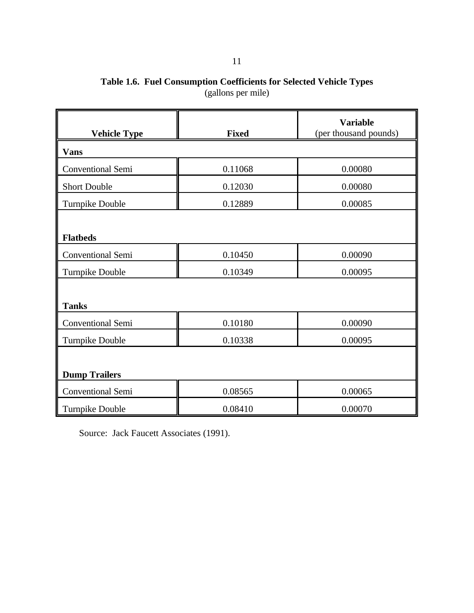## **Table 1.6. Fuel Consumption Coefficients for Selected Vehicle Types** (gallons per mile)

| <b>Vehicle Type</b>      | <b>Fixed</b> | <b>Variable</b><br>(per thousand pounds) |
|--------------------------|--------------|------------------------------------------|
| <b>Vans</b>              |              |                                          |
| Conventional Semi        | 0.11068      | 0.00080                                  |
| <b>Short Double</b>      | 0.12030      | 0.00080                                  |
| <b>Turnpike Double</b>   | 0.12889      | 0.00085                                  |
|                          |              |                                          |
| <b>Flatbeds</b>          |              |                                          |
| <b>Conventional Semi</b> | 0.10450      | 0.00090                                  |
| <b>Turnpike Double</b>   | 0.10349      | 0.00095                                  |
|                          |              |                                          |
| <b>Tanks</b>             |              |                                          |
| Conventional Semi        | 0.10180      | 0.00090                                  |
| <b>Turnpike Double</b>   | 0.10338      | 0.00095                                  |
|                          |              |                                          |
| <b>Dump Trailers</b>     |              |                                          |
| Conventional Semi        | 0.08565      | 0.00065                                  |
| Turnpike Double          | 0.08410      | 0.00070                                  |

Source: Jack Faucett Associates (1991).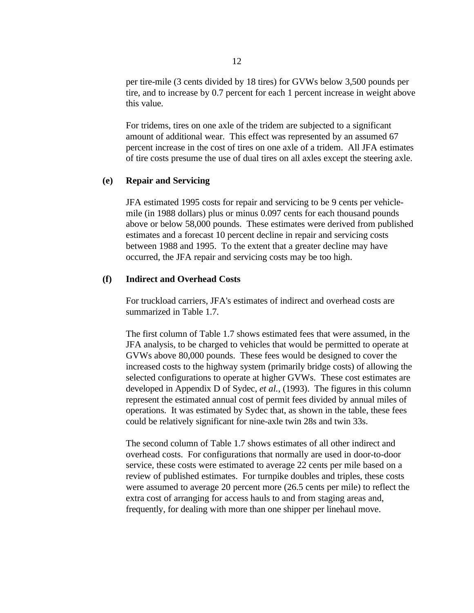per tire-mile (3 cents divided by 18 tires) for GVWs below 3,500 pounds per tire, and to increase by 0.7 percent for each 1 percent increase in weight above this value.

For tridems, tires on one axle of the tridem are subjected to a significant amount of additional wear. This effect was represented by an assumed 67 percent increase in the cost of tires on one axle of a tridem. All JFA estimates of tire costs presume the use of dual tires on all axles except the steering axle.

#### **(e) Repair and Servicing**

JFA estimated 1995 costs for repair and servicing to be 9 cents per vehiclemile (in 1988 dollars) plus or minus 0.097 cents for each thousand pounds above or below 58,000 pounds. These estimates were derived from published estimates and a forecast 10 percent decline in repair and servicing costs between 1988 and 1995. To the extent that a greater decline may have occurred, the JFA repair and servicing costs may be too high.

#### **(f) Indirect and Overhead Costs**

For truckload carriers, JFA's estimates of indirect and overhead costs are summarized in Table 1.7.

The first column of Table 1.7 shows estimated fees that were assumed, in the JFA analysis, to be charged to vehicles that would be permitted to operate at GVWs above 80,000 pounds. These fees would be designed to cover the increased costs to the highway system (primarily bridge costs) of allowing the selected configurations to operate at higher GVWs. These cost estimates are developed in Appendix D of Sydec, *et al.*, (1993). The figures in this column represent the estimated annual cost of permit fees divided by annual miles of operations. It was estimated by Sydec that, as shown in the table, these fees could be relatively significant for nine-axle twin 28s and twin 33s.

The second column of Table 1.7 shows estimates of all other indirect and overhead costs. For configurations that normally are used in door-to-door service, these costs were estimated to average 22 cents per mile based on a review of published estimates. For turnpike doubles and triples, these costs were assumed to average 20 percent more (26.5 cents per mile) to reflect the extra cost of arranging for access hauls to and from staging areas and, frequently, for dealing with more than one shipper per linehaul move.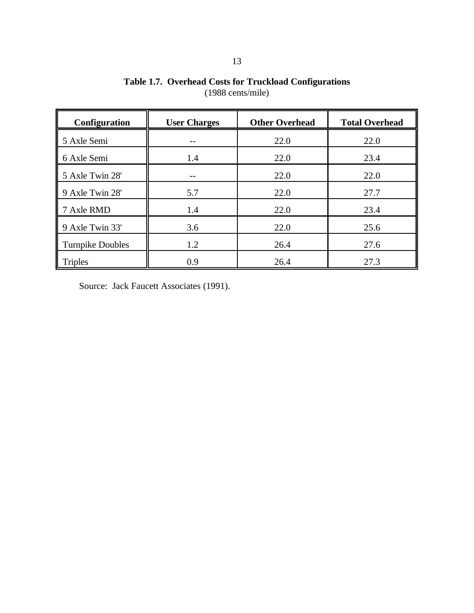| Configuration           | <b>User Charges</b> | <b>Other Overhead</b> | <b>Total Overhead</b> |
|-------------------------|---------------------|-----------------------|-----------------------|
| 5 Axle Semi             | --                  | 22.0                  | 22.0                  |
| 6 Axle Semi             | 1.4                 | 22.0                  | 23.4                  |
| 5 Axle Twin 28'         |                     | 22.0                  | 22.0                  |
| 9 Axle Twin 28'         | 5.7                 | 22.0                  | 27.7                  |
| 7 Axle RMD              | 1.4                 | 22.0                  | 23.4                  |
| 9 Axle Twin 33'         | 3.6                 | 22.0                  | 25.6                  |
| <b>Turnpike Doubles</b> | 1.2                 | 26.4                  | 27.6                  |
| <b>Triples</b>          | 0.9                 | 26.4                  | 27.3                  |

**Table 1.7. Overhead Costs for Truckload Configurations** (1988 cents/mile)

Source: Jack Faucett Associates (1991).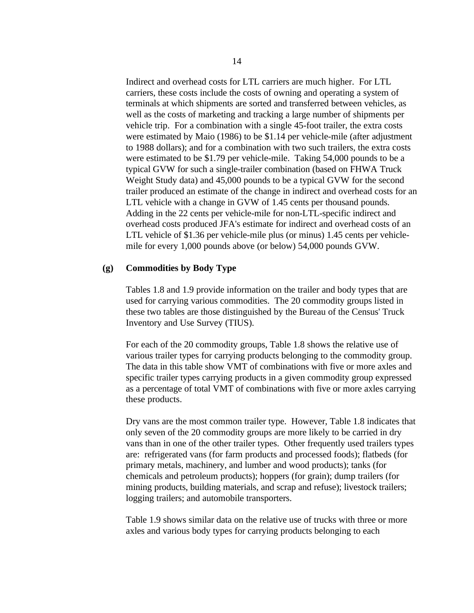Indirect and overhead costs for LTL carriers are much higher. For LTL carriers, these costs include the costs of owning and operating a system of terminals at which shipments are sorted and transferred between vehicles, as well as the costs of marketing and tracking a large number of shipments per vehicle trip. For a combination with a single 45-foot trailer, the extra costs were estimated by Maio (1986) to be \$1.14 per vehicle-mile (after adjustment to 1988 dollars); and for a combination with two such trailers, the extra costs were estimated to be \$1.79 per vehicle-mile. Taking 54,000 pounds to be a typical GVW for such a single-trailer combination (based on FHWA Truck Weight Study data) and 45,000 pounds to be a typical GVW for the second trailer produced an estimate of the change in indirect and overhead costs for an LTL vehicle with a change in GVW of 1.45 cents per thousand pounds. Adding in the 22 cents per vehicle-mile for non-LTL-specific indirect and overhead costs produced JFA's estimate for indirect and overhead costs of an LTL vehicle of \$1.36 per vehicle-mile plus (or minus) 1.45 cents per vehiclemile for every 1,000 pounds above (or below) 54,000 pounds GVW.

#### **(g) Commodities by Body Type**

Tables 1.8 and 1.9 provide information on the trailer and body types that are used for carrying various commodities. The 20 commodity groups listed in these two tables are those distinguished by the Bureau of the Census' Truck Inventory and Use Survey (TIUS).

For each of the 20 commodity groups, Table 1.8 shows the relative use of various trailer types for carrying products belonging to the commodity group. The data in this table show VMT of combinations with five or more axles and specific trailer types carrying products in a given commodity group expressed as a percentage of total VMT of combinations with five or more axles carrying these products.

Dry vans are the most common trailer type. However, Table 1.8 indicates that only seven of the 20 commodity groups are more likely to be carried in dry vans than in one of the other trailer types. Other frequently used trailers types are: refrigerated vans (for farm products and processed foods); flatbeds (for primary metals, machinery, and lumber and wood products); tanks (for chemicals and petroleum products); hoppers (for grain); dump trailers (for mining products, building materials, and scrap and refuse); livestock trailers; logging trailers; and automobile transporters.

Table 1.9 shows similar data on the relative use of trucks with three or more axles and various body types for carrying products belonging to each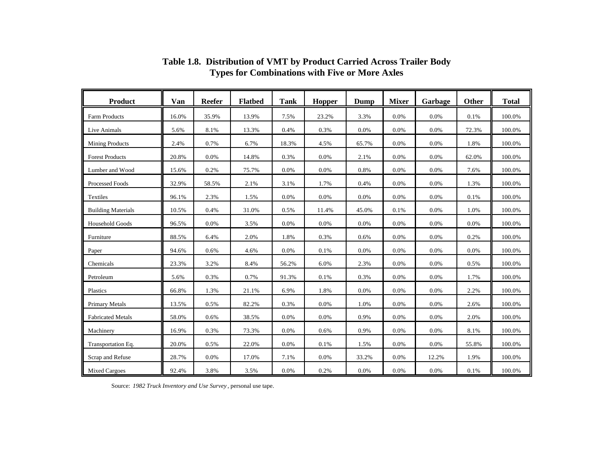| <b>Product</b>            | Van   | <b>Reefer</b> | <b>Flatbed</b> | <b>Tank</b> | Hopper  | Dump  | <b>Mixer</b> | Garbage | <b>Other</b> | <b>Total</b> |
|---------------------------|-------|---------------|----------------|-------------|---------|-------|--------------|---------|--------------|--------------|
| Farm Products             | 16.0% | 35.9%         | 13.9%          | 7.5%        | 23.2%   | 3.3%  | 0.0%         | 0.0%    | 0.1%         | 100.0%       |
| Live Animals              | 5.6%  | 8.1%          | 13.3%          | 0.4%        | 0.3%    | 0.0%  | 0.0%         | 0.0%    | 72.3%        | 100.0%       |
| <b>Mining Products</b>    | 2.4%  | 0.7%          | 6.7%           | 18.3%       | 4.5%    | 65.7% | 0.0%         | 0.0%    | 1.8%         | 100.0%       |
| <b>Forest Products</b>    | 20.8% | 0.0%          | 14.8%          | 0.3%        | 0.0%    | 2.1%  | 0.0%         | 0.0%    | 62.0%        | 100.0%       |
| Lumber and Wood           | 15.6% | 0.2%          | 75.7%          | 0.0%        | 0.0%    | 0.8%  | 0.0%         | 0.0%    | 7.6%         | 100.0%       |
| Processed Foods           | 32.9% | 58.5%         | 2.1%           | 3.1%        | 1.7%    | 0.4%  | 0.0%         | 0.0%    | 1.3%         | 100.0%       |
| Textiles                  | 96.1% | 2.3%          | 1.5%           | 0.0%        | 0.0%    | 0.0%  | 0.0%         | 0.0%    | 0.1%         | 100.0%       |
| <b>Building Materials</b> | 10.5% | 0.4%          | 31.0%          | 0.5%        | 11.4%   | 45.0% | 0.1%         | $0.0\%$ | 1.0%         | 100.0%       |
| Household Goods           | 96.5% | 0.0%          | 3.5%           | 0.0%        | $0.0\%$ | 0.0%  | 0.0%         | 0.0%    | 0.0%         | 100.0%       |
| Furniture                 | 88.5% | 6.4%          | 2.0%           | 1.8%        | 0.3%    | 0.6%  | 0.0%         | $0.0\%$ | 0.2%         | 100.0%       |
| Paper                     | 94.6% | 0.6%          | 4.6%           | 0.0%        | 0.1%    | 0.0%  | 0.0%         | 0.0%    | 0.0%         | 100.0%       |
| Chemicals                 | 23.3% | 3.2%          | 8.4%           | 56.2%       | 6.0%    | 2.3%  | 0.0%         | $0.0\%$ | 0.5%         | 100.0%       |
| Petroleum                 | 5.6%  | 0.3%          | 0.7%           | 91.3%       | 0.1%    | 0.3%  | 0.0%         | 0.0%    | 1.7%         | 100.0%       |
| Plastics                  | 66.8% | 1.3%          | 21.1%          | 6.9%        | 1.8%    | 0.0%  | 0.0%         | 0.0%    | 2.2%         | 100.0%       |
| <b>Primary Metals</b>     | 13.5% | 0.5%          | 82.2%          | 0.3%        | 0.0%    | 1.0%  | 0.0%         | 0.0%    | 2.6%         | 100.0%       |
| <b>Fabricated Metals</b>  | 58.0% | 0.6%          | 38.5%          | 0.0%        | 0.0%    | 0.9%  | 0.0%         | 0.0%    | 2.0%         | 100.0%       |
| Machinery                 | 16.9% | 0.3%          | 73.3%          | 0.0%        | 0.6%    | 0.9%  | 0.0%         | 0.0%    | 8.1%         | 100.0%       |
| Transportation Eq.        | 20.0% | 0.5%          | 22.0%          | 0.0%        | 0.1%    | 1.5%  | 0.0%         | 0.0%    | 55.8%        | 100.0%       |
| Scrap and Refuse          | 28.7% | 0.0%          | 17.0%          | 7.1%        | 0.0%    | 33.2% | 0.0%         | 12.2%   | 1.9%         | 100.0%       |
| <b>Mixed Cargoes</b>      | 92.4% | 3.8%          | 3.5%           | 0.0%        | 0.2%    | 0.0%  | 0.0%         | 0.0%    | 0.1%         | 100.0%       |

**Table 1.8. Distribution of VMT by Product Carried Across Trailer Body Types for Combinations with Five or More Axles**

Source: *1982 Truck Inventory and Use Survey* , personal use tape.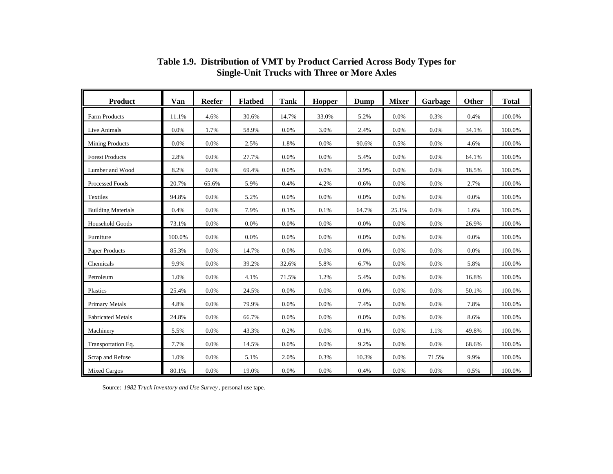| <b>Product</b>            | Van    | <b>Reefer</b> | <b>Flatbed</b> | <b>Tank</b> | Hopper | <b>Dump</b> | <b>Mixer</b> | Garbage | Other | <b>Total</b> |
|---------------------------|--------|---------------|----------------|-------------|--------|-------------|--------------|---------|-------|--------------|
| Farm Products             | 11.1%  | 4.6%          | 30.6%          | 14.7%       | 33.0%  | 5.2%        | 0.0%         | 0.3%    | 0.4%  | 100.0%       |
| Live Animals              | 0.0%   | 1.7%          | 58.9%          | 0.0%        | 3.0%   | 2.4%        | 0.0%         | 0.0%    | 34.1% | 100.0%       |
| <b>Mining Products</b>    | 0.0%   | 0.0%          | 2.5%           | 1.8%        | 0.0%   | 90.6%       | 0.5%         | 0.0%    | 4.6%  | 100.0%       |
| <b>Forest Products</b>    | 2.8%   | 0.0%          | 27.7%          | 0.0%        | 0.0%   | 5.4%        | 0.0%         | 0.0%    | 64.1% | 100.0%       |
| Lumber and Wood           | 8.2%   | 0.0%          | 69.4%          | 0.0%        | 0.0%   | 3.9%        | 0.0%         | 0.0%    | 18.5% | 100.0%       |
| <b>Processed Foods</b>    | 20.7%  | 65.6%         | 5.9%           | 0.4%        | 4.2%   | 0.6%        | 0.0%         | 0.0%    | 2.7%  | 100.0%       |
| Textiles                  | 94.8%  | 0.0%          | 5.2%           | 0.0%        | 0.0%   | 0.0%        | 0.0%         | 0.0%    | 0.0%  | 100.0%       |
| <b>Building Materials</b> | 0.4%   | 0.0%          | 7.9%           | 0.1%        | 0.1%   | 64.7%       | 25.1%        | 0.0%    | 1.6%  | 100.0%       |
| <b>Household Goods</b>    | 73.1%  | $0.0\%$       | 0.0%           | 0.0%        | 0.0%   | 0.0%        | 0.0%         | 0.0%    | 26.9% | 100.0%       |
| Furniture                 | 100.0% | $0.0\%$       | 0.0%           | 0.0%        | 0.0%   | 0.0%        | 0.0%         | 0.0%    | 0.0%  | 100.0%       |
| Paper Products            | 85.3%  | 0.0%          | 14.7%          | 0.0%        | 0.0%   | 0.0%        | 0.0%         | 0.0%    | 0.0%  | 100.0%       |
| Chemicals                 | 9.9%   | 0.0%          | 39.2%          | 32.6%       | 5.8%   | 6.7%        | 0.0%         | 0.0%    | 5.8%  | 100.0%       |
| Petroleum                 | 1.0%   | 0.0%          | 4.1%           | 71.5%       | 1.2%   | 5.4%        | 0.0%         | 0.0%    | 16.8% | 100.0%       |
| Plastics                  | 25.4%  | 0.0%          | 24.5%          | 0.0%        | 0.0%   | 0.0%        | 0.0%         | 0.0%    | 50.1% | 100.0%       |
| <b>Primary Metals</b>     | 4.8%   | 0.0%          | 79.9%          | 0.0%        | 0.0%   | 7.4%        | 0.0%         | 0.0%    | 7.8%  | 100.0%       |
| <b>Fabricated Metals</b>  | 24.8%  | 0.0%          | 66.7%          | 0.0%        | 0.0%   | 0.0%        | 0.0%         | 0.0%    | 8.6%  | 100.0%       |
| Machinery                 | 5.5%   | 0.0%          | 43.3%          | 0.2%        | 0.0%   | 0.1%        | 0.0%         | 1.1%    | 49.8% | 100.0%       |
| Transportation Eq.        | 7.7%   | 0.0%          | 14.5%          | 0.0%        | 0.0%   | 9.2%        | 0.0%         | 0.0%    | 68.6% | 100.0%       |
| Scrap and Refuse          | 1.0%   | 0.0%          | 5.1%           | 2.0%        | 0.3%   | 10.3%       | 0.0%         | 71.5%   | 9.9%  | 100.0%       |
| <b>Mixed Cargos</b>       | 80.1%  | 0.0%          | 19.0%          | 0.0%        | 0.0%   | 0.4%        | 0.0%         | 0.0%    | 0.5%  | 100.0%       |

**Table 1.9. Distribution of VMT by Product Carried Across Body Types for Single-Unit Trucks with Three or More Axles**

Source: *1982 Truck Inventory and Use Survey* , personal use tape.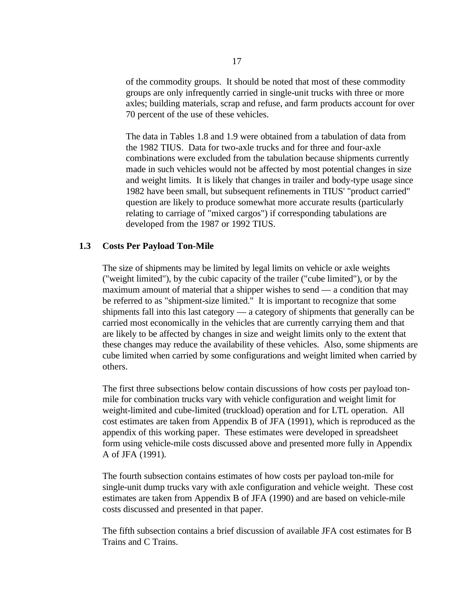of the commodity groups. It should be noted that most of these commodity groups are only infrequently carried in single-unit trucks with three or more axles; building materials, scrap and refuse, and farm products account for over 70 percent of the use of these vehicles.

The data in Tables 1.8 and 1.9 were obtained from a tabulation of data from the 1982 TIUS. Data for two-axle trucks and for three and four-axle combinations were excluded from the tabulation because shipments currently made in such vehicles would not be affected by most potential changes in size and weight limits. It is likely that changes in trailer and body-type usage since 1982 have been small, but subsequent refinements in TIUS' "product carried" question are likely to produce somewhat more accurate results (particularly relating to carriage of "mixed cargos") if corresponding tabulations are developed from the 1987 or 1992 TIUS.

#### **1.3 Costs Per Payload Ton-Mile**

The size of shipments may be limited by legal limits on vehicle or axle weights ("weight limited"), by the cubic capacity of the trailer ("cube limited"), or by the maximum amount of material that a shipper wishes to send — a condition that may be referred to as "shipment-size limited." It is important to recognize that some shipments fall into this last category — a category of shipments that generally can be carried most economically in the vehicles that are currently carrying them and that are likely to be affected by changes in size and weight limits only to the extent that these changes may reduce the availability of these vehicles. Also, some shipments are cube limited when carried by some configurations and weight limited when carried by others.

The first three subsections below contain discussions of how costs per payload tonmile for combination trucks vary with vehicle configuration and weight limit for weight-limited and cube-limited (truckload) operation and for LTL operation. All cost estimates are taken from Appendix B of JFA (1991), which is reproduced as the appendix of this working paper. These estimates were developed in spreadsheet form using vehicle-mile costs discussed above and presented more fully in Appendix A of JFA (1991).

The fourth subsection contains estimates of how costs per payload ton-mile for single-unit dump trucks vary with axle configuration and vehicle weight. These cost estimates are taken from Appendix B of JFA (1990) and are based on vehicle-mile costs discussed and presented in that paper.

The fifth subsection contains a brief discussion of available JFA cost estimates for B Trains and C Trains.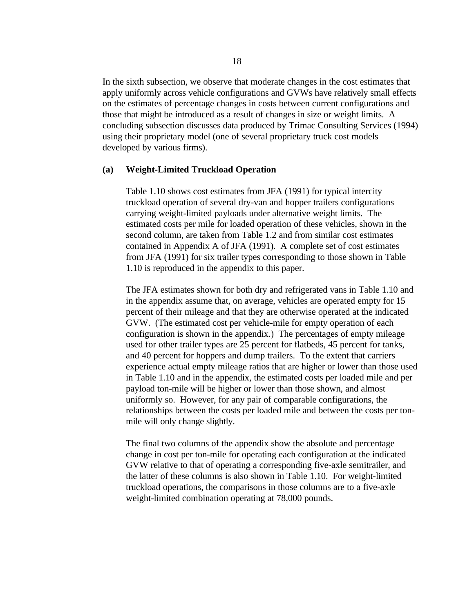In the sixth subsection, we observe that moderate changes in the cost estimates that apply uniformly across vehicle configurations and GVWs have relatively small effects on the estimates of percentage changes in costs between current configurations and those that might be introduced as a result of changes in size or weight limits. A concluding subsection discusses data produced by Trimac Consulting Services (1994) using their proprietary model (one of several proprietary truck cost models developed by various firms).

#### **(a) Weight-Limited Truckload Operation**

Table 1.10 shows cost estimates from JFA (1991) for typical intercity truckload operation of several dry-van and hopper trailers configurations carrying weight-limited payloads under alternative weight limits. The estimated costs per mile for loaded operation of these vehicles, shown in the second column, are taken from Table 1.2 and from similar cost estimates contained in Appendix A of JFA (1991). A complete set of cost estimates from JFA (1991) for six trailer types corresponding to those shown in Table 1.10 is reproduced in the appendix to this paper.

The JFA estimates shown for both dry and refrigerated vans in Table 1.10 and in the appendix assume that, on average, vehicles are operated empty for 15 percent of their mileage and that they are otherwise operated at the indicated GVW. (The estimated cost per vehicle-mile for empty operation of each configuration is shown in the appendix.) The percentages of empty mileage used for other trailer types are 25 percent for flatbeds, 45 percent for tanks, and 40 percent for hoppers and dump trailers. To the extent that carriers experience actual empty mileage ratios that are higher or lower than those used in Table 1.10 and in the appendix, the estimated costs per loaded mile and per payload ton-mile will be higher or lower than those shown, and almost uniformly so. However, for any pair of comparable configurations, the relationships between the costs per loaded mile and between the costs per tonmile will only change slightly.

The final two columns of the appendix show the absolute and percentage change in cost per ton-mile for operating each configuration at the indicated GVW relative to that of operating a corresponding five-axle semitrailer, and the latter of these columns is also shown in Table 1.10. For weight-limited truckload operations, the comparisons in those columns are to a five-axle weight-limited combination operating at 78,000 pounds.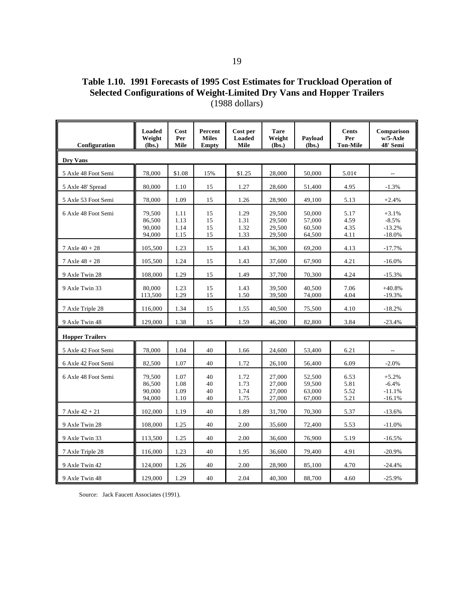**Table 1.10. 1991 Forecasts of 1995 Cost Estimates for Truckload Operation of Selected Configurations of Weight-Limited Dry Vans and Hopper Trailers** (1988 dollars)

| Configuration          | <b>Loaded</b><br>Weight<br>(lbs.)    | Cost<br>Per<br>Mile          | Percent<br><b>Miles</b><br><b>Empty</b> | Cost per<br><b>Loaded</b><br>Mile | <b>Tare</b><br>Weight<br>(lbs.)      | Payload<br>(lbs.)                    | <b>Cents</b><br>Per<br><b>Ton-Mile</b> | Comparison<br>$w/5$ -Axle<br>48' Semi      |  |
|------------------------|--------------------------------------|------------------------------|-----------------------------------------|-----------------------------------|--------------------------------------|--------------------------------------|----------------------------------------|--------------------------------------------|--|
| Dry Vans               |                                      |                              |                                         |                                   |                                      |                                      |                                        |                                            |  |
| 5 Axle 48 Foot Semi    | 78,000                               | \$1.08                       | 15%                                     | \$1.25                            | 28,000                               | 50,000                               | 5.01¢                                  |                                            |  |
| 5 Axle 48' Spread      | 80,000                               | 1.10                         | 15                                      | 1.27                              | 28,600                               | 51,400                               | 4.95                                   | $-1.3%$                                    |  |
| 5 Axle 53 Foot Semi    | 78,000                               | 1.09                         | 15                                      | 1.26                              | 28,900                               | 49,100                               | 5.13                                   | $+2.4%$                                    |  |
| 6 Axle 48 Foot Semi    | 79,500<br>86,500<br>90.000<br>94,000 | 1.11<br>1.13<br>1.14<br>1.15 | 15<br>15<br>15<br>15                    | 1.29<br>1.31<br>1.32<br>1.33      | 29,500<br>29,500<br>29.500<br>29,500 | 50,000<br>57,000<br>60.500<br>64,500 | 5.17<br>4.59<br>4.35<br>4.11           | $+3.1%$<br>$-8.5%$<br>$-13.2%$<br>$-18.0%$ |  |
| $7$ Axle $40 + 28$     | 105,500                              | 1.23                         | 15                                      | 1.43                              | 36,300                               | 69,200                               | 4.13                                   | $-17.7%$                                   |  |
| $7$ Axle $48 + 28$     | 105,500                              | 1.24                         | 15                                      | 1.43                              | 37,600                               | 67,900                               | 4.21                                   | $-16.0%$                                   |  |
| 9 Axle Twin 28         | 108,000                              | 1.29                         | 15                                      | 1.49                              | 37,700                               | 70,300                               | 4.24                                   | $-15.3%$                                   |  |
| 9 Axle Twin 33         | 80,000<br>113,500                    | 1.23<br>1.29                 | 15<br>15                                | 1.43<br>1.50                      | 39,500<br>39,500                     | 40,500<br>74,000                     | 7.06<br>4.04                           | $+40.8%$<br>$-19.3%$                       |  |
| 7 Axle Triple 28       | 116,000                              | 1.34                         | 15                                      | 1.55                              | 40,500                               | 75,500                               | 4.10                                   | $-18.2%$                                   |  |
| 9 Axle Twin 48         | 129,000                              | 1.38                         | 15                                      | 1.59                              | 46,200                               | 82,800                               | 3.84                                   | $-23.4%$                                   |  |
| <b>Hopper Trailers</b> |                                      |                              |                                         |                                   |                                      |                                      |                                        |                                            |  |
| 5 Axle 42 Foot Semi    | 78,000                               | 1.04                         | 40                                      | 1.66                              | 24,600                               | 53,400                               | 6.21                                   | $\overline{a}$                             |  |
| 6 Axle 42 Foot Semi    | 82,500                               | 1.07                         | 40                                      | 1.72                              | 26,100                               | 56,400                               | 6.09                                   | $-2.0%$                                    |  |
| 6 Axle 48 Foot Semi    | 79,500<br>86.500<br>90.000<br>94,000 | 1.07<br>1.08<br>1.09<br>1.10 | 40<br>40<br>40<br>40                    | 1.72<br>1.73<br>1.74<br>1.75      | 27,000<br>27,000<br>27,000<br>27,000 | 52,500<br>59,500<br>63,000<br>67,000 | 6.53<br>5.81<br>5.52<br>5.21           | $+5.2%$<br>$-6.4%$<br>$-11.1%$<br>$-16.1%$ |  |
| $7$ Axle $42 + 21$     | 102,000                              | 1.19                         | 40                                      | 1.89                              | 31,700                               | 70,300                               | 5.37                                   | $-13.6%$                                   |  |
| 9 Axle Twin 28         | 108,000                              | 1.25                         | 40                                      | 2.00                              | 35,600                               | 72,400                               | 5.53                                   | $-11.0%$                                   |  |
| 9 Axle Twin 33         | 113,500                              | 1.25                         | 40                                      | 2.00                              | 36,600                               | 76,900                               | 5.19                                   | $-16.5%$                                   |  |
| 7 Axle Triple 28       | 116,000                              | 1.23                         | 40                                      | 1.95                              | 36,600                               | 79,400                               | 4.91                                   | $-20.9%$                                   |  |
| 9 Axle Twin 42         | 124,000                              | 1.26                         | 40                                      | 2.00                              | 28,900                               | 85,100                               | 4.70                                   | $-24.4%$                                   |  |
| 9 Axle Twin 48         | 129,000                              | 1.29                         | 40                                      | 2.04                              | 40,300                               | 88,700                               | 4.60                                   | $-25.9%$                                   |  |

Source: Jack Faucett Associates (1991).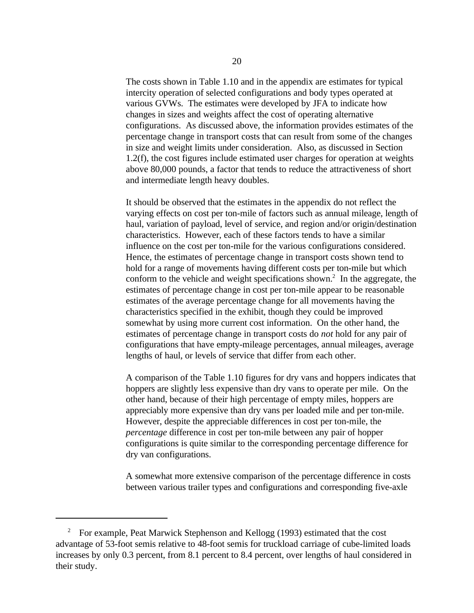The costs shown in Table 1.10 and in the appendix are estimates for typical intercity operation of selected configurations and body types operated at various GVWs. The estimates were developed by JFA to indicate how changes in sizes and weights affect the cost of operating alternative configurations. As discussed above, the information provides estimates of the percentage change in transport costs that can result from some of the changes in size and weight limits under consideration. Also, as discussed in Section 1.2(f), the cost figures include estimated user charges for operation at weights above 80,000 pounds, a factor that tends to reduce the attractiveness of short and intermediate length heavy doubles.

It should be observed that the estimates in the appendix do not reflect the varying effects on cost per ton-mile of factors such as annual mileage, length of haul, variation of payload, level of service, and region and/or origin/destination characteristics. However, each of these factors tends to have a similar influence on the cost per ton-mile for the various configurations considered. Hence, the estimates of percentage change in transport costs shown tend to hold for a range of movements having different costs per ton-mile but which conform to the vehicle and weight specifications shown.<sup>2</sup> In the aggregate, the estimates of percentage change in cost per ton-mile appear to be reasonable estimates of the average percentage change for all movements having the characteristics specified in the exhibit, though they could be improved somewhat by using more current cost information. On the other hand, the estimates of percentage change in transport costs do *not* hold for any pair of configurations that have empty-mileage percentages, annual mileages, average lengths of haul, or levels of service that differ from each other.

A comparison of the Table 1.10 figures for dry vans and hoppers indicates that hoppers are slightly less expensive than dry vans to operate per mile. On the other hand, because of their high percentage of empty miles, hoppers are appreciably more expensive than dry vans per loaded mile and per ton-mile. However, despite the appreciable differences in cost per ton-mile, the *percentage* difference in cost per ton-mile between any pair of hopper configurations is quite similar to the corresponding percentage difference for dry van configurations.

A somewhat more extensive comparison of the percentage difference in costs between various trailer types and configurations and corresponding five-axle

<sup>&</sup>lt;sup>2</sup> For example, Peat Marwick Stephenson and Kellogg (1993) estimated that the cost advantage of 53-foot semis relative to 48-foot semis for truckload carriage of cube-limited loads increases by only 0.3 percent, from 8.1 percent to 8.4 percent, over lengths of haul considered in their study.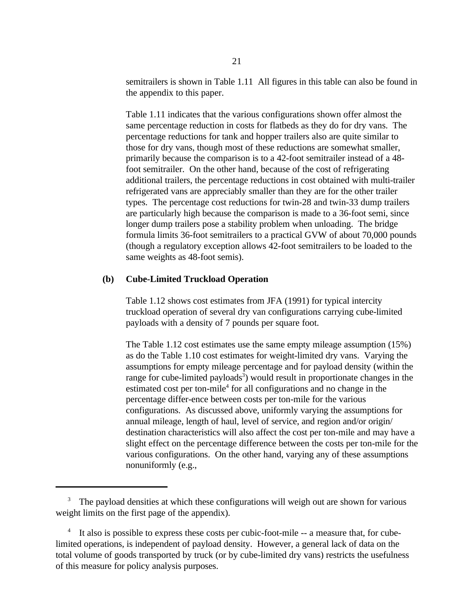semitrailers is shown in Table 1.11 All figures in this table can also be found in the appendix to this paper.

Table 1.11 indicates that the various configurations shown offer almost the same percentage reduction in costs for flatbeds as they do for dry vans. The percentage reductions for tank and hopper trailers also are quite similar to those for dry vans, though most of these reductions are somewhat smaller, primarily because the comparison is to a 42-foot semitrailer instead of a 48 foot semitrailer. On the other hand, because of the cost of refrigerating additional trailers, the percentage reductions in cost obtained with multi-trailer refrigerated vans are appreciably smaller than they are for the other trailer types. The percentage cost reductions for twin-28 and twin-33 dump trailers are particularly high because the comparison is made to a 36-foot semi, since longer dump trailers pose a stability problem when unloading. The bridge formula limits 36-foot semitrailers to a practical GVW of about 70,000 pounds (though a regulatory exception allows 42-foot semitrailers to be loaded to the same weights as 48-foot semis).

#### **(b) Cube-Limited Truckload Operation**

Table 1.12 shows cost estimates from JFA (1991) for typical intercity truckload operation of several dry van configurations carrying cube-limited payloads with a density of 7 pounds per square foot.

The Table 1.12 cost estimates use the same empty mileage assumption (15%) as do the Table 1.10 cost estimates for weight-limited dry vans. Varying the assumptions for empty mileage percentage and for payload density (within the range for cube-limited payloads<sup>3</sup>) would result in proportionate changes in the estimated cost per ton-mile<sup>4</sup> for all configurations and no change in the percentage differ-ence between costs per ton-mile for the various configurations. As discussed above, uniformly varying the assumptions for annual mileage, length of haul, level of service, and region and/or origin/ destination characteristics will also affect the cost per ton-mile and may have a slight effect on the percentage difference between the costs per ton-mile for the various configurations. On the other hand, varying any of these assumptions nonuniformly (e.g.,

<sup>&</sup>lt;sup>3</sup> The payload densities at which these configurations will weigh out are shown for various weight limits on the first page of the appendix).

It also is possible to express these costs per cubic-foot-mile -- a measure that, for cubelimited operations, is independent of payload density. However, a general lack of data on the total volume of goods transported by truck (or by cube-limited dry vans) restricts the usefulness of this measure for policy analysis purposes.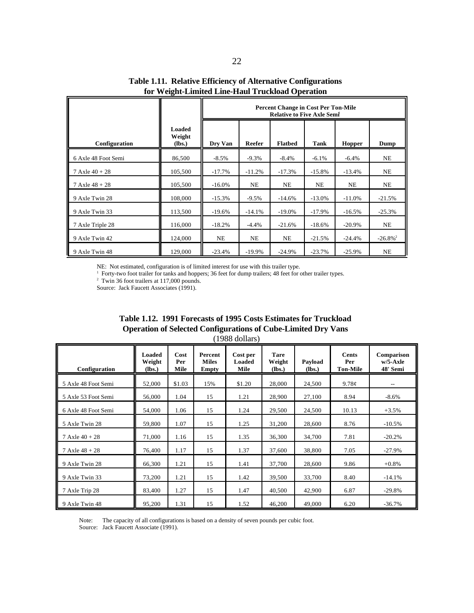|                     |                            | <b>Percent Change in Cost Per Ton-Mile</b><br><b>Relative to Five Axle Semi</b> |           |                |           |               |                        |  |  |  |  |
|---------------------|----------------------------|---------------------------------------------------------------------------------|-----------|----------------|-----------|---------------|------------------------|--|--|--|--|
| Configuration       | Loaded<br>Weight<br>(Ibs.) | Dry Van                                                                         | Reefer    | <b>Flatbed</b> | Tank      | <b>Hopper</b> | Dump                   |  |  |  |  |
| 6 Axle 48 Foot Semi | 86,500                     | $-8.5\%$                                                                        | $-9.3%$   | $-8.4%$        | $-6.1%$   | $-6.4%$       | <b>NE</b>              |  |  |  |  |
| 7 Axle $40 + 28$    | 105,500                    | $-17.7%$                                                                        | $-11.2%$  | $-17.3%$       | $-15.8%$  | $-13.4%$      | <b>NE</b>              |  |  |  |  |
| 7 Axle $48 + 28$    | 105,500                    | $-16.0\%$                                                                       | NE        | <b>NE</b>      | <b>NE</b> | NE            | NE                     |  |  |  |  |
| 9 Axle Twin 28      | 108,000                    | $-15.3%$                                                                        | $-9.5%$   | $-14.6%$       | $-13.0%$  | $-11.0%$      | $-21.5%$               |  |  |  |  |
| 9 Axle Twin 33      | 113,500                    | $-19.6%$                                                                        | $-14.1%$  | $-19.0\%$      | $-17.9%$  | $-16.5%$      | $-25.3%$               |  |  |  |  |
| 7 Axle Triple 28    | 116,000                    | $-18.2%$                                                                        | $-4.4%$   | $-21.6%$       | $-18.6%$  | $-20.9\%$     | NE                     |  |  |  |  |
| 9 Axle Twin 42      | 124,000                    | NE                                                                              | NE        | <b>NE</b>      | $-21.5%$  | $-24.4%$      | $-26.8\%$ <sup>2</sup> |  |  |  |  |
| 9 Axle Twin 48      | 129,000                    | $-23.4%$                                                                        | $-19.9\%$ | $-24.9%$       | $-23.7%$  | $-25.9%$      | NE                     |  |  |  |  |

**Table 1.11. Relative Efficiency of Alternative Configurations for Weight-Limited Line-Haul Truckload Operation**

NE: Not estimated, configuration is of limited interest for use with this trailer type.

<sup>1</sup> Forty-two foot trailer for tanks and hoppers; 36 feet for dump trailers; 48 feet for other trailer types.

 $2$  Twin 36 foot trailers at 117,000 pounds.

Source: Jack Faucett Associates (1991).

| Configuration             | Loaded<br>Weight<br>(lbs.) | Cost<br>Per<br>Mile | Percent<br><b>Miles</b><br><b>Empty</b> | Cost per<br>Loaded<br>Mile | <b>Tare</b><br>Weight<br>(Ibs.) | Payload<br>(lbs.) | Cents<br>Per<br><b>Ton-Mile</b> | Comparison<br>$w/5$ -Axle<br>48' Semi |
|---------------------------|----------------------------|---------------------|-----------------------------------------|----------------------------|---------------------------------|-------------------|---------------------------------|---------------------------------------|
| 5 Axle 48 Foot Semi       | 52,000                     | \$1.03              | 15%                                     | \$1.20                     | 28,000                          | 24,500            | 9.78c                           | $-$                                   |
| 5 Axle 53 Foot Semi       | 56,000                     | 1.04                | 15                                      | 1.21                       | 28,900                          | 27,100            | 8.94                            | $-8.6%$                               |
| 6 Axle 48 Foot Semi       | 54,000                     | 1.06                | 15                                      | 1.24                       | 29,500                          | 24,500            | 10.13                           | $+3.5%$                               |
| 5 Axle Twin 28            | 59,800                     | 1.07                | 15                                      | 1.25                       | 31,200                          | 28,600            | 8.76                            | $-10.5%$                              |
| $7 \text{ Axle } 40 + 28$ | 71,000                     | 1.16                | 15                                      | 1.35                       | 36,300                          | 34,700            | 7.81                            | $-20.2%$                              |
| $7$ Axle $48 + 28$        | 76,400                     | 1.17                | 15                                      | 1.37                       | 37,600                          | 38,800            | 7.05                            | $-27.9%$                              |
| 9 Axle Twin 28            | 66,300                     | 1.21                | 15                                      | 1.41                       | 37,700                          | 28,600            | 9.86                            | $+0.8%$                               |
| 9 Axle Twin 33            | 73,200                     | 1.21                | 15                                      | 1.42                       | 39,500                          | 33,700            | 8.40                            | $-14.1%$                              |
| 7 Axle Trip 28            | 83,400                     | 1.27                | 15                                      | 1.47                       | 40,500                          | 42,900            | 6.87                            | $-29.8%$                              |
| 9 Axle Twin 48            | 95,200                     | 1.31                | 15                                      | 1.52                       | 46,200                          | 49,000            | 6.20                            | $-36.7%$                              |

| Table 1.12. 1991 Forecasts of 1995 Costs Estimates for Truckload     |  |
|----------------------------------------------------------------------|--|
| <b>Operation of Selected Configurations of Cube-Limited Dry Vans</b> |  |
| $(1988$ dollars)                                                     |  |

Note: The capacity of all configurations is based on a density of seven pounds per cubic foot.

Source: Jack Faucett Associate (1991).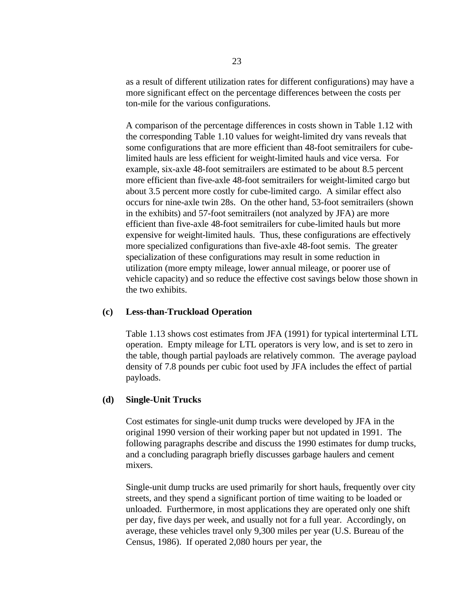as a result of different utilization rates for different configurations) may have a more significant effect on the percentage differences between the costs per ton-mile for the various configurations.

A comparison of the percentage differences in costs shown in Table 1.12 with the corresponding Table 1.10 values for weight-limited dry vans reveals that some configurations that are more efficient than 48-foot semitrailers for cubelimited hauls are less efficient for weight-limited hauls and vice versa. For example, six-axle 48-foot semitrailers are estimated to be about 8.5 percent more efficient than five-axle 48-foot semitrailers for weight-limited cargo but about 3.5 percent more costly for cube-limited cargo. A similar effect also occurs for nine-axle twin 28s. On the other hand, 53-foot semitrailers (shown in the exhibits) and 57-foot semitrailers (not analyzed by JFA) are more efficient than five-axle 48-foot semitrailers for cube-limited hauls but more expensive for weight-limited hauls. Thus, these configurations are effectively more specialized configurations than five-axle 48-foot semis. The greater specialization of these configurations may result in some reduction in utilization (more empty mileage, lower annual mileage, or poorer use of vehicle capacity) and so reduce the effective cost savings below those shown in the two exhibits.

#### **(c) Less-than-Truckload Operation**

Table 1.13 shows cost estimates from JFA (1991) for typical interterminal LTL operation. Empty mileage for LTL operators is very low, and is set to zero in the table, though partial payloads are relatively common. The average payload density of 7.8 pounds per cubic foot used by JFA includes the effect of partial payloads.

#### **(d) Single-Unit Trucks**

Cost estimates for single-unit dump trucks were developed by JFA in the original 1990 version of their working paper but not updated in 1991. The following paragraphs describe and discuss the 1990 estimates for dump trucks, and a concluding paragraph briefly discusses garbage haulers and cement mixers.

Single-unit dump trucks are used primarily for short hauls, frequently over city streets, and they spend a significant portion of time waiting to be loaded or unloaded. Furthermore, in most applications they are operated only one shift per day, five days per week, and usually not for a full year. Accordingly, on average, these vehicles travel only 9,300 miles per year (U.S. Bureau of the Census, 1986). If operated 2,080 hours per year, the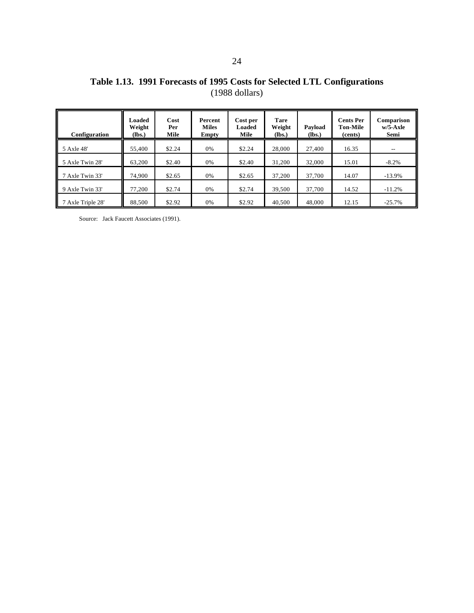| Configuration     | Loaded<br>Weight<br>(Ibs.) | Cost<br>Per<br>Mile | Percent<br><b>Miles</b><br>Empty | Cost per<br>Loaded<br>Mile | <b>Tare</b><br>Weight<br>(lbs.) | Payload<br>(lbs.) | <b>Cents Per</b><br><b>Ton-Mile</b><br>(cents) | Comparison<br>$w/5$ -Axle<br>Semi |
|-------------------|----------------------------|---------------------|----------------------------------|----------------------------|---------------------------------|-------------------|------------------------------------------------|-----------------------------------|
| 5 Axle 48'        | 55,400                     | \$2.24              | 0%                               | \$2.24                     | 28,000                          | 27,400            | 16.35                                          | $\overline{\phantom{m}}$          |
| 5 Axle Twin 28'   | 63,200                     | \$2.40              | 0%                               | \$2.40                     | 31.200                          | 32,000            | 15.01                                          | $-8.2\%$                          |
| 7 Axle Twin 33'   | 74,900                     | \$2.65              | 0%                               | \$2.65                     | 37,200                          | 37,700            | 14.07                                          | $-13.9%$                          |
| 9 Axle Twin 33'   | 77,200                     | \$2.74              | 0%                               | \$2.74                     | 39,500                          | 37,700            | 14.52                                          | $-11.2%$                          |
| 7 Axle Triple 28' | 88,500                     | \$2.92              | 0%                               | \$2.92                     | 40,500                          | 48,000            | 12.15                                          | $-25.7%$                          |

Source: Jack Faucett Associates (1991).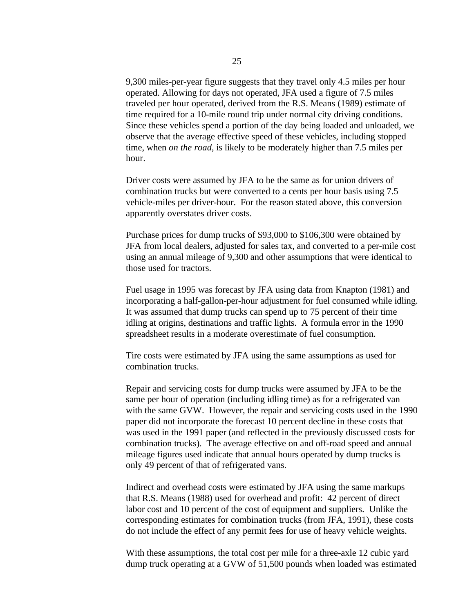9,300 miles-per-year figure suggests that they travel only 4.5 miles per hour operated. Allowing for days not operated, JFA used a figure of 7.5 miles traveled per hour operated, derived from the R.S. Means (1989) estimate of time required for a 10-mile round trip under normal city driving conditions. Since these vehicles spend a portion of the day being loaded and unloaded, we observe that the average effective speed of these vehicles, including stopped time, when *on the road*, is likely to be moderately higher than 7.5 miles per hour.

Driver costs were assumed by JFA to be the same as for union drivers of combination trucks but were converted to a cents per hour basis using 7.5 vehicle-miles per driver-hour. For the reason stated above, this conversion apparently overstates driver costs.

Purchase prices for dump trucks of \$93,000 to \$106,300 were obtained by JFA from local dealers, adjusted for sales tax, and converted to a per-mile cost using an annual mileage of 9,300 and other assumptions that were identical to those used for tractors.

Fuel usage in 1995 was forecast by JFA using data from Knapton (1981) and incorporating a half-gallon-per-hour adjustment for fuel consumed while idling. It was assumed that dump trucks can spend up to 75 percent of their time idling at origins, destinations and traffic lights. A formula error in the 1990 spreadsheet results in a moderate overestimate of fuel consumption.

Tire costs were estimated by JFA using the same assumptions as used for combination trucks.

Repair and servicing costs for dump trucks were assumed by JFA to be the same per hour of operation (including idling time) as for a refrigerated van with the same GVW. However, the repair and servicing costs used in the 1990 paper did not incorporate the forecast 10 percent decline in these costs that was used in the 1991 paper (and reflected in the previously discussed costs for combination trucks). The average effective on and off-road speed and annual mileage figures used indicate that annual hours operated by dump trucks is only 49 percent of that of refrigerated vans.

Indirect and overhead costs were estimated by JFA using the same markups that R.S. Means (1988) used for overhead and profit: 42 percent of direct labor cost and 10 percent of the cost of equipment and suppliers. Unlike the corresponding estimates for combination trucks (from JFA, 1991), these costs do not include the effect of any permit fees for use of heavy vehicle weights.

With these assumptions, the total cost per mile for a three-axle 12 cubic yard dump truck operating at a GVW of 51,500 pounds when loaded was estimated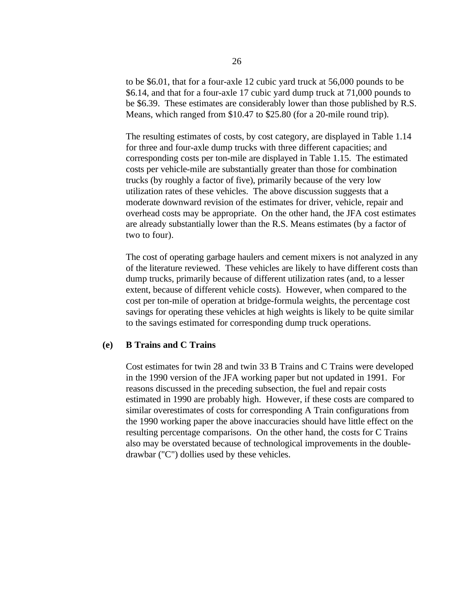to be \$6.01, that for a four-axle 12 cubic yard truck at 56,000 pounds to be \$6.14, and that for a four-axle 17 cubic yard dump truck at 71,000 pounds to be \$6.39. These estimates are considerably lower than those published by R.S. Means, which ranged from \$10.47 to \$25.80 (for a 20-mile round trip).

The resulting estimates of costs, by cost category, are displayed in Table 1.14 for three and four-axle dump trucks with three different capacities; and corresponding costs per ton-mile are displayed in Table 1.15. The estimated costs per vehicle-mile are substantially greater than those for combination trucks (by roughly a factor of five), primarily because of the very low utilization rates of these vehicles. The above discussion suggests that a moderate downward revision of the estimates for driver, vehicle, repair and overhead costs may be appropriate. On the other hand, the JFA cost estimates are already substantially lower than the R.S. Means estimates (by a factor of two to four).

The cost of operating garbage haulers and cement mixers is not analyzed in any of the literature reviewed. These vehicles are likely to have different costs than dump trucks, primarily because of different utilization rates (and, to a lesser extent, because of different vehicle costs). However, when compared to the cost per ton-mile of operation at bridge-formula weights, the percentage cost savings for operating these vehicles at high weights is likely to be quite similar to the savings estimated for corresponding dump truck operations.

#### **(e) B Trains and C Trains**

Cost estimates for twin 28 and twin 33 B Trains and C Trains were developed in the 1990 version of the JFA working paper but not updated in 1991. For reasons discussed in the preceding subsection, the fuel and repair costs estimated in 1990 are probably high. However, if these costs are compared to similar overestimates of costs for corresponding A Train configurations from the 1990 working paper the above inaccuracies should have little effect on the resulting percentage comparisons. On the other hand, the costs for C Trains also may be overstated because of technological improvements in the doubledrawbar ("C") dollies used by these vehicles.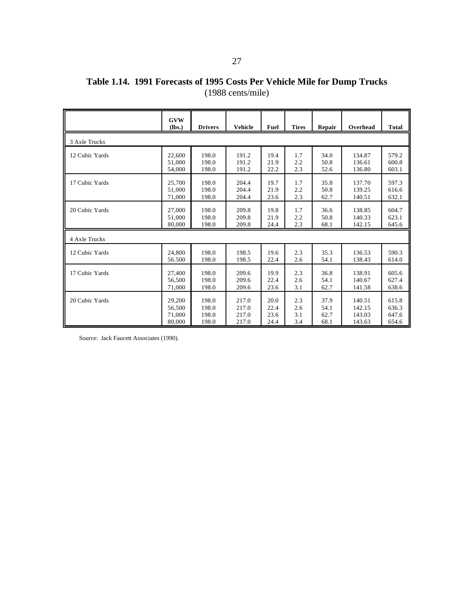## **Table 1.14. 1991 Forecasts of 1995 Costs Per Vehicle Mile for Dump Trucks** (1988 cents/mile)

|                | <b>GVW</b><br>(lbs.) | <b>Drivers</b> | <b>Vehicle</b> | Fuel | <b>Tires</b> | Repair | Overhead | <b>Total</b> |
|----------------|----------------------|----------------|----------------|------|--------------|--------|----------|--------------|
| 3 Axle Trucks  |                      |                |                |      |              |        |          |              |
| 12 Cubic Yards | 22,600               | 198.0          | 191.2          | 19.4 | 1.7          | 34.0   | 134.87   | 579.2        |
|                | 51,000               | 198.0          | 191.2          | 21.9 | 2.2          | 50.8   | 136.61   | 600.8        |
|                | 54,000               | 198.0          | 191.2          | 22.2 | 2.3          | 52.6   | 136.80   | 603.1        |
| 17 Cubic Yards | 25,700               | 198.0          | 204.4          | 19.7 | 1.7          | 35.8   | 137.70   | 597.3        |
|                | 51.000               | 198.0          | 204.4          | 21.9 | 2.2          | 50.8   | 139.25   | 616.6        |
|                | 71,000               | 198.0          | 204.4          | 23.6 | 2.3          | 62.7   | 140.51   | 632.1        |
| 20 Cubic Yards | 27,000               | 198.0          | 209.8          | 19.8 | 1.7          | 36.6   | 138.85   | 604.7        |
|                | 51,000               | 198.0          | 209.8          | 21.9 | 2.2          | 50.8   | 140.33   | 623.1        |
|                | 80,000               | 198.0          | 209.8          | 24.4 | 2.3          | 68.1   | 142.15   | 645.6        |
| 4 Axle Trucks  |                      |                |                |      |              |        |          |              |
| 12 Cubic Yards | 24.800               | 198.0          | 198.5          | 19.6 | 2.3          | 35.3   | 136.53   | 590.3        |
|                | 56.500               | 198.0          | 198.5          | 22.4 | 2.6          | 54.1   | 138.43   | 614.0        |
| 17 Cubic Yards | 27,400               | 198.0          | 209.6          | 19.9 | 2.3          | 36.8   | 138.91   | 605.6        |
|                | 56,500               | 198.0          | 209.6          | 22.4 | 2.6          | 54.1   | 140.67   | 627.4        |
|                | 71,000               | 198.0          | 209.6          | 23.6 | 3.1          | 62.7   | 141.58   | 638.6        |
| 20 Cubic Yards | 29,200               | 198.0          | 217.0          | 20.0 | 2.3          | 37.9   | 140.51   | 615.8        |
|                | 56,500               | 198.0          | 217.0          | 22.4 | 2.6          | 54.1   | 142.15   | 636.3        |
|                | 71,000               | 198.0          | 217.0          | 23.6 | 3.1          | 62.7   | 143.03   | 647.6        |
|                | 80,000               | 198.0          | 217.0          | 24.4 | 3.4          | 68.1   | 143.63   | 654.6        |

Source: Jack Faucett Associates (1990).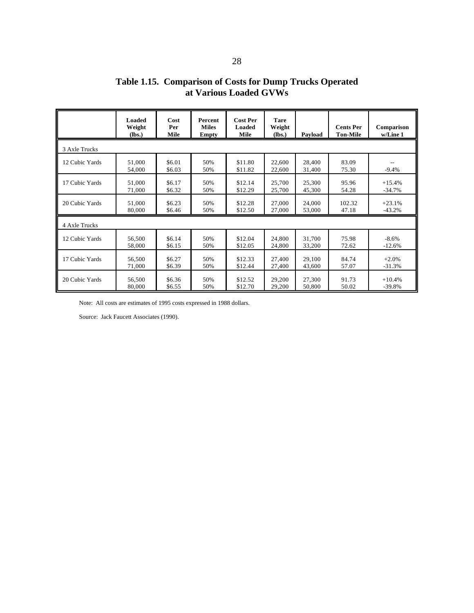## **Table 1.15. Comparison of Costs for Dump Trucks Operated at Various Loaded GVWs**

|                | <b>Loaded</b><br>Weight<br>(lbs.) | Cost<br>Per<br>Mile | <b>Percent</b><br><b>Miles</b><br><b>Empty</b> | <b>Cost Per</b><br>Loaded<br>Mile | <b>Tare</b><br>Weight<br>(lbs.) | Payload          | <b>Cents Per</b><br><b>Ton-Mile</b> | Comparison<br>w/Line 1 |  |  |
|----------------|-----------------------------------|---------------------|------------------------------------------------|-----------------------------------|---------------------------------|------------------|-------------------------------------|------------------------|--|--|
| 3 Axle Trucks  |                                   |                     |                                                |                                   |                                 |                  |                                     |                        |  |  |
| 12 Cubic Yards | 51,000<br>54,000                  | \$6.01<br>\$6.03    | 50%<br>50%                                     | \$11.80<br>\$11.82                | 22,600<br>22,600                | 28,400<br>31,400 | 83.09<br>75.30                      | $-9.4%$                |  |  |
| 17 Cubic Yards | 51,000                            | \$6.17              | 50%                                            | \$12.14                           | 25,700                          | 25,300           | 95.96                               | $+15.4%$               |  |  |
|                | 71,000                            | \$6.32              | 50%                                            | \$12.29                           | 25,700                          | 45,300           | 54.28                               | $-34.7%$               |  |  |
| 20 Cubic Yards | 51,000                            | \$6.23              | 50%                                            | \$12.28                           | 27,000                          | 24,000           | 102.32                              | $+23.1%$               |  |  |
|                | 80,000                            | \$6.46              | 50%                                            | \$12.50                           | 27,000                          | 53,000           | 47.18                               | $-43.2%$               |  |  |
| 4 Axle Trucks  |                                   |                     |                                                |                                   |                                 |                  |                                     |                        |  |  |
| 12 Cubic Yards | 56,500                            | \$6.14              | 50%                                            | \$12.04                           | 24,800                          | 31,700           | 75.98                               | $-8.6%$                |  |  |
|                | 58,000                            | \$6.15              | 50%                                            | \$12.05                           | 24,800                          | 33,200           | 72.62                               | $-12.6%$               |  |  |
| 17 Cubic Yards | 56,500                            | \$6.27              | 50%                                            | \$12.33                           | 27,400                          | 29,100           | 84.74                               | $+2.0%$                |  |  |
|                | 71,000                            | \$6.39              | 50%                                            | \$12.44                           | 27,400                          | 43,600           | 57.07                               | $-31.3%$               |  |  |
| 20 Cubic Yards | 56,500                            | \$6.36              | 50%                                            | \$12.52                           | 29,200                          | 27,300           | 91.73                               | $+10.4%$               |  |  |
|                | 80,000                            | \$6.55              | 50%                                            | \$12.70                           | 29,200                          | 50,800           | 50.02                               | $-39.8%$               |  |  |

Note: All costs are estimates of 1995 costs expressed in 1988 dollars.

Source: Jack Faucett Associates (1990).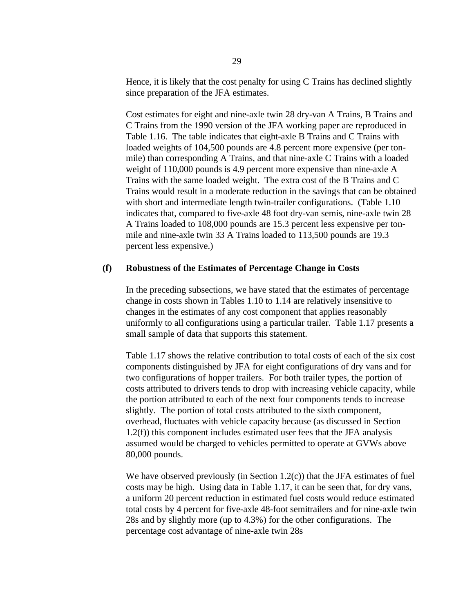Hence, it is likely that the cost penalty for using C Trains has declined slightly since preparation of the JFA estimates.

Cost estimates for eight and nine-axle twin 28 dry-van A Trains, B Trains and C Trains from the 1990 version of the JFA working paper are reproduced in Table 1.16. The table indicates that eight-axle B Trains and C Trains with loaded weights of 104,500 pounds are 4.8 percent more expensive (per tonmile) than corresponding A Trains, and that nine-axle C Trains with a loaded weight of 110,000 pounds is 4.9 percent more expensive than nine-axle A Trains with the same loaded weight. The extra cost of the B Trains and C Trains would result in a moderate reduction in the savings that can be obtained with short and intermediate length twin-trailer configurations. (Table 1.10 indicates that, compared to five-axle 48 foot dry-van semis, nine-axle twin 28 A Trains loaded to 108,000 pounds are 15.3 percent less expensive per tonmile and nine-axle twin 33 A Trains loaded to 113,500 pounds are 19.3 percent less expensive.)

#### **(f) Robustness of the Estimates of Percentage Change in Costs**

In the preceding subsections, we have stated that the estimates of percentage change in costs shown in Tables 1.10 to 1.14 are relatively insensitive to changes in the estimates of any cost component that applies reasonably uniformly to all configurations using a particular trailer. Table 1.17 presents a small sample of data that supports this statement.

Table 1.17 shows the relative contribution to total costs of each of the six cost components distinguished by JFA for eight configurations of dry vans and for two configurations of hopper trailers. For both trailer types, the portion of costs attributed to drivers tends to drop with increasing vehicle capacity, while the portion attributed to each of the next four components tends to increase slightly. The portion of total costs attributed to the sixth component, overhead, fluctuates with vehicle capacity because (as discussed in Section 1.2(f)) this component includes estimated user fees that the JFA analysis assumed would be charged to vehicles permitted to operate at GVWs above 80,000 pounds.

We have observed previously (in Section 1.2(c)) that the JFA estimates of fuel costs may be high. Using data in Table 1.17, it can be seen that, for dry vans, a uniform 20 percent reduction in estimated fuel costs would reduce estimated total costs by 4 percent for five-axle 48-foot semitrailers and for nine-axle twin 28s and by slightly more (up to 4.3%) for the other configurations. The percentage cost advantage of nine-axle twin 28s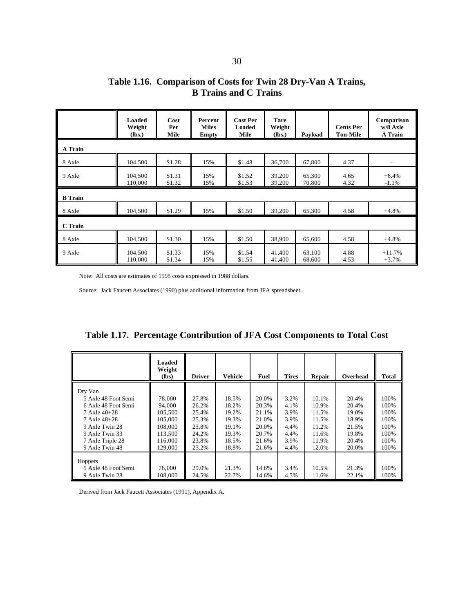| Table 1.16. Comparison of Costs for Twin 28 Dry-Van A Trains, |  |
|---------------------------------------------------------------|--|
| <b>B</b> Trains and C Trains                                  |  |

|                | Loaded<br>Weight<br>(lbs.) | Cost<br>Per<br>Mile | Percent<br><b>Miles</b><br><b>Empty</b> | <b>Cost Per</b><br>Loaded<br>Mile | <b>Tare</b><br>Weight<br>(lbs.) | Payload          | <b>Cents Per</b><br><b>Ton-Mile</b> | Comparison<br>w/8 Axle<br>A Train |  |
|----------------|----------------------------|---------------------|-----------------------------------------|-----------------------------------|---------------------------------|------------------|-------------------------------------|-----------------------------------|--|
| A Train        |                            |                     |                                         |                                   |                                 |                  |                                     |                                   |  |
| 8 Axle         | 104,500                    | \$1.28              | 15%                                     | \$1.48                            | 36.700                          | 67,800           | 4.37                                | $- -$                             |  |
| 9 Axle         | 104,500<br>110,000         | \$1.31<br>\$1.32    | 15%<br>15%                              | \$1.52<br>\$1.53                  | 39,200<br>39,200                | 65,300<br>70,800 | 4.65<br>4.32                        | $+6.4%$<br>$-1.1%$                |  |
| <b>B</b> Train |                            |                     |                                         |                                   |                                 |                  |                                     |                                   |  |
| 8 Axle         | 104,500                    | \$1.29              | 15%                                     | \$1.50                            | 39,200                          | 65,300           | 4.58                                | $+4.8%$                           |  |
| C Train        |                            |                     |                                         |                                   |                                 |                  |                                     |                                   |  |
| 8 Axle         | 104,500                    | \$1.30              | 15%                                     | \$1.50                            | 38,900                          | 65,600           | 4.58                                | $+4.8%$                           |  |
| 9 Axle         | 104,500<br>110,000         | \$1.33<br>\$1.34    | 15%<br>15%                              | \$1.54<br>\$1.55                  | 41,400<br>41,400                | 63,100<br>68,600 | 4.88<br>4.53                        | $+11.7%$<br>$+3.7%$               |  |

Note: All costs are estimates of 1995 costs expressed in 1988 dollars.

Source: Jack Faucett Associates (1990) plus additional information from JFA spreadsheet..

**Table 1.17. Percentage Contribution of JFA Cost Components to Total Cost**

|                                                                                                                                                                              | Loaded<br>Weight<br>(lbs)                                                          | <b>Driver</b>                                                        | <b>Vehicle</b>                                                       | Fuel                                                                 | <b>Tires</b>                                                 | Repair                                                               | Overhead                                                             | <b>Total</b>                                                 |
|------------------------------------------------------------------------------------------------------------------------------------------------------------------------------|------------------------------------------------------------------------------------|----------------------------------------------------------------------|----------------------------------------------------------------------|----------------------------------------------------------------------|--------------------------------------------------------------|----------------------------------------------------------------------|----------------------------------------------------------------------|--------------------------------------------------------------|
| Dry Van<br>5 Axle 48 Foot Semi<br>6 Axle 48 Foot Semi<br>$7 \text{ Axle } 40 + 28$<br>7 Axle 48+28<br>9 Axle Twin 28<br>9 Axle Twin 33<br>7 Axle Triple 28<br>9 Axle Twin 48 | 78,000<br>94,000<br>105,500<br>105,000<br>108,000<br>113.500<br>116,000<br>129,000 | 27.8%<br>26.2%<br>25.4%<br>25.3%<br>23.8%<br>24.2%<br>23.8%<br>23.2% | 18.5%<br>18.2%<br>19.2%<br>19.3%<br>19.1%<br>19.3%<br>18.5%<br>18.8% | 20.0%<br>20.3%<br>21.1%<br>21.0%<br>20.0%<br>20.7%<br>21.6%<br>21.6% | 3.2%<br>4.1%<br>3.9%<br>3.9%<br>4.4%<br>4.4%<br>3.9%<br>4.4% | 10.1%<br>10.9%<br>11.5%<br>11.5%<br>11.2%<br>11.6%<br>11.9%<br>12.0% | 20.4%<br>20.4%<br>19.0%<br>18.9%<br>21.5%<br>19.8%<br>20.4%<br>20.0% | 100%<br>100%<br>100%<br>100%<br>100%<br>100%<br>100%<br>100% |
| Hoppers<br>5 Axle 48 Foot Semi<br>9 Axle Twin 28                                                                                                                             | 78,000<br>108,000                                                                  | 29.0%<br>24.5%                                                       | 21.3%<br>22.7%                                                       | 14.6%<br>14.6%                                                       | 3.4%<br>4.5%                                                 | 10.5%<br>11.6%                                                       | 21.3%<br>22.1%                                                       | 100%<br>100%                                                 |

Derived from Jack Faucett Associates (1991), Appendix A.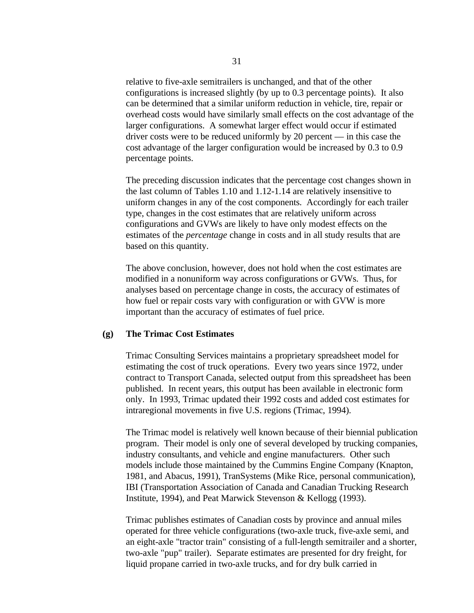relative to five-axle semitrailers is unchanged, and that of the other configurations is increased slightly (by up to 0.3 percentage points). It also can be determined that a similar uniform reduction in vehicle, tire, repair or overhead costs would have similarly small effects on the cost advantage of the larger configurations. A somewhat larger effect would occur if estimated driver costs were to be reduced uniformly by 20 percent — in this case the cost advantage of the larger configuration would be increased by 0.3 to 0.9 percentage points.

The preceding discussion indicates that the percentage cost changes shown in the last column of Tables 1.10 and 1.12-1.14 are relatively insensitive to uniform changes in any of the cost components. Accordingly for each trailer type, changes in the cost estimates that are relatively uniform across configurations and GVWs are likely to have only modest effects on the estimates of the *percentage* change in costs and in all study results that are based on this quantity.

The above conclusion, however, does not hold when the cost estimates are modified in a nonuniform way across configurations or GVWs. Thus, for analyses based on percentage change in costs, the accuracy of estimates of how fuel or repair costs vary with configuration or with GVW is more important than the accuracy of estimates of fuel price.

#### **(g) The Trimac Cost Estimates**

Trimac Consulting Services maintains a proprietary spreadsheet model for estimating the cost of truck operations. Every two years since 1972, under contract to Transport Canada, selected output from this spreadsheet has been published. In recent years, this output has been available in electronic form only. In 1993, Trimac updated their 1992 costs and added cost estimates for intraregional movements in five U.S. regions (Trimac, 1994).

The Trimac model is relatively well known because of their biennial publication program. Their model is only one of several developed by trucking companies, industry consultants, and vehicle and engine manufacturers. Other such models include those maintained by the Cummins Engine Company (Knapton, 1981, and Abacus, 1991), TranSystems (Mike Rice, personal communication), IBI (Transportation Association of Canada and Canadian Trucking Research Institute, 1994), and Peat Marwick Stevenson & Kellogg (1993).

Trimac publishes estimates of Canadian costs by province and annual miles operated for three vehicle configurations (two-axle truck, five-axle semi, and an eight-axle "tractor train" consisting of a full-length semitrailer and a shorter, two-axle "pup" trailer). Separate estimates are presented for dry freight, for liquid propane carried in two-axle trucks, and for dry bulk carried in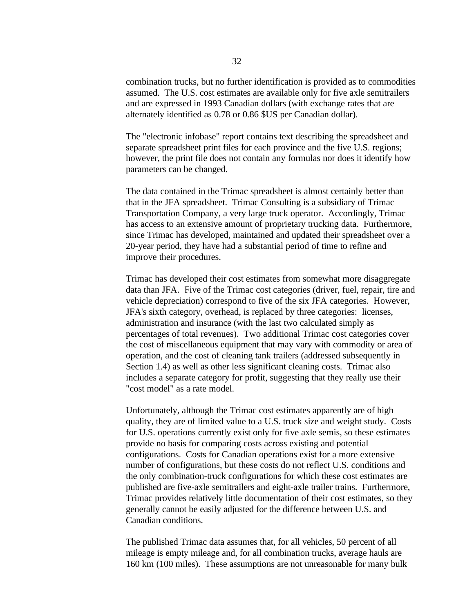combination trucks, but no further identification is provided as to commodities assumed. The U.S. cost estimates are available only for five axle semitrailers and are expressed in 1993 Canadian dollars (with exchange rates that are alternately identified as 0.78 or 0.86 \$US per Canadian dollar).

The "electronic infobase" report contains text describing the spreadsheet and separate spreadsheet print files for each province and the five U.S. regions; however, the print file does not contain any formulas nor does it identify how parameters can be changed.

The data contained in the Trimac spreadsheet is almost certainly better than that in the JFA spreadsheet. Trimac Consulting is a subsidiary of Trimac Transportation Company, a very large truck operator. Accordingly, Trimac has access to an extensive amount of proprietary trucking data. Furthermore, since Trimac has developed, maintained and updated their spreadsheet over a 20-year period, they have had a substantial period of time to refine and improve their procedures.

Trimac has developed their cost estimates from somewhat more disaggregate data than JFA. Five of the Trimac cost categories (driver, fuel, repair, tire and vehicle depreciation) correspond to five of the six JFA categories. However, JFA's sixth category, overhead, is replaced by three categories: licenses, administration and insurance (with the last two calculated simply as percentages of total revenues). Two additional Trimac cost categories cover the cost of miscellaneous equipment that may vary with commodity or area of operation, and the cost of cleaning tank trailers (addressed subsequently in Section 1.4) as well as other less significant cleaning costs. Trimac also includes a separate category for profit, suggesting that they really use their "cost model" as a rate model.

Unfortunately, although the Trimac cost estimates apparently are of high quality, they are of limited value to a U.S. truck size and weight study. Costs for U.S. operations currently exist only for five axle semis, so these estimates provide no basis for comparing costs across existing and potential configurations. Costs for Canadian operations exist for a more extensive number of configurations, but these costs do not reflect U.S. conditions and the only combination-truck configurations for which these cost estimates are published are five-axle semitrailers and eight-axle trailer trains. Furthermore, Trimac provides relatively little documentation of their cost estimates, so they generally cannot be easily adjusted for the difference between U.S. and Canadian conditions.

The published Trimac data assumes that, for all vehicles, 50 percent of all mileage is empty mileage and, for all combination trucks, average hauls are 160 km (100 miles). These assumptions are not unreasonable for many bulk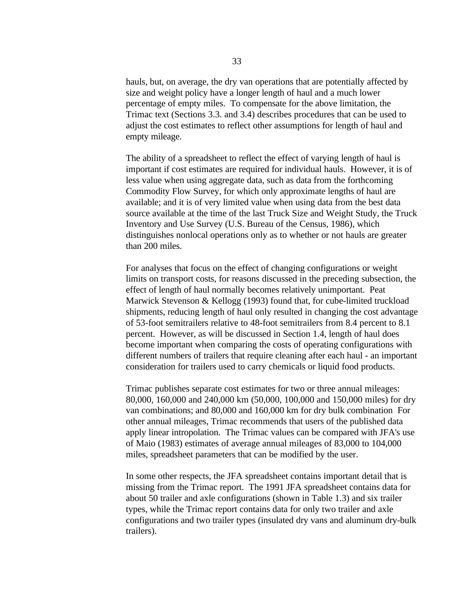hauls, but, on average, the dry van operations that are potentially affected by size and weight policy have a longer length of haul and a much lower percentage of empty miles. To compensate for the above limitation, the Trimac text (Sections 3.3. and 3.4) describes procedures that can be used to adjust the cost estimates to reflect other assumptions for length of haul and empty mileage.

The ability of a spreadsheet to reflect the effect of varying length of haul is important if cost estimates are required for individual hauls. However, it is of less value when using aggregate data, such as data from the forthcoming Commodity Flow Survey, for which only approximate lengths of haul are available; and it is of very limited value when using data from the best data source available at the time of the last Truck Size and Weight Study, the Truck Inventory and Use Survey (U.S. Bureau of the Census, 1986), which distinguishes nonlocal operations only as to whether or not hauls are greater than 200 miles.

For analyses that focus on the effect of changing configurations or weight limits on transport costs, for reasons discussed in the preceding subsection, the effect of length of haul normally becomes relatively unimportant. Peat Marwick Stevenson & Kellogg (1993) found that, for cube-limited truckload shipments, reducing length of haul only resulted in changing the cost advantage of 53-foot semitrailers relative to 48-foot semitrailers from 8.4 percent to 8.1 percent. However, as will be discussed in Section 1.4, length of haul does become important when comparing the costs of operating configurations with different numbers of trailers that require cleaning after each haul - an important consideration for trailers used to carry chemicals or liquid food products.

Trimac publishes separate cost estimates for two or three annual mileages: 80,000, 160,000 and 240,000 km (50,000, 100,000 and 150,000 miles) for dry van combinations; and 80,000 and 160,000 km for dry bulk combination For other annual mileages, Trimac recommends that users of the published data apply linear intropolation. The Trimac values can be compared with JFA's use of Maio (1983) estimates of average annual mileages of 83,000 to 104,000 miles, spreadsheet parameters that can be modified by the user.

In some other respects, the JFA spreadsheet contains important detail that is missing from the Trimac report. The 1991 JFA spreadsheet contains data for about 50 trailer and axle configurations (shown in Table 1.3) and six trailer types, while the Trimac report contains data for only two trailer and axle configurations and two trailer types (insulated dry vans and aluminum dry-bulk trailers).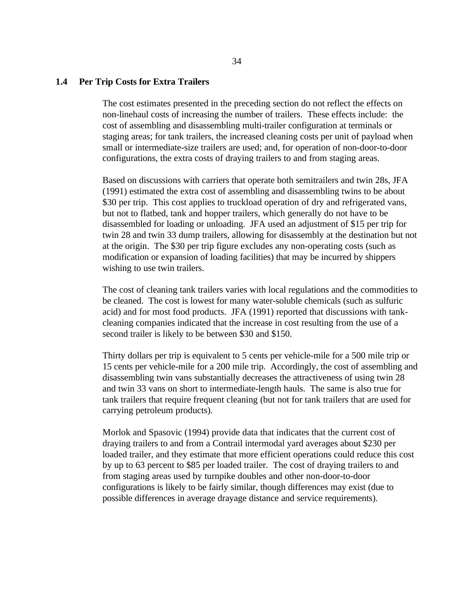#### **1.4 Per Trip Costs for Extra Trailers**

The cost estimates presented in the preceding section do not reflect the effects on non-linehaul costs of increasing the number of trailers. These effects include: the cost of assembling and disassembling multi-trailer configuration at terminals or staging areas; for tank trailers, the increased cleaning costs per unit of payload when small or intermediate-size trailers are used; and, for operation of non-door-to-door configurations, the extra costs of draying trailers to and from staging areas.

Based on discussions with carriers that operate both semitrailers and twin 28s, JFA (1991) estimated the extra cost of assembling and disassembling twins to be about \$30 per trip. This cost applies to truckload operation of dry and refrigerated vans, but not to flatbed, tank and hopper trailers, which generally do not have to be disassembled for loading or unloading. JFA used an adjustment of \$15 per trip for twin 28 and twin 33 dump trailers, allowing for disassembly at the destination but not at the origin. The \$30 per trip figure excludes any non-operating costs (such as modification or expansion of loading facilities) that may be incurred by shippers wishing to use twin trailers.

The cost of cleaning tank trailers varies with local regulations and the commodities to be cleaned. The cost is lowest for many water-soluble chemicals (such as sulfuric acid) and for most food products. JFA (1991) reported that discussions with tankcleaning companies indicated that the increase in cost resulting from the use of a second trailer is likely to be between \$30 and \$150.

Thirty dollars per trip is equivalent to 5 cents per vehicle-mile for a 500 mile trip or 15 cents per vehicle-mile for a 200 mile trip. Accordingly, the cost of assembling and disassembling twin vans substantially decreases the attractiveness of using twin 28 and twin 33 vans on short to intermediate-length hauls. The same is also true for tank trailers that require frequent cleaning (but not for tank trailers that are used for carrying petroleum products).

Morlok and Spasovic (1994) provide data that indicates that the current cost of draying trailers to and from a Contrail intermodal yard averages about \$230 per loaded trailer, and they estimate that more efficient operations could reduce this cost by up to 63 percent to \$85 per loaded trailer. The cost of draying trailers to and from staging areas used by turnpike doubles and other non-door-to-door configurations is likely to be fairly similar, though differences may exist (due to possible differences in average drayage distance and service requirements).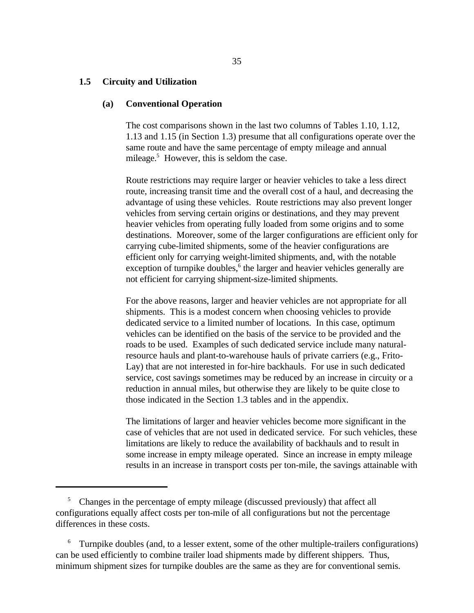#### **1.5 Circuity and Utilization**

#### **(a) Conventional Operation**

The cost comparisons shown in the last two columns of Tables 1.10, 1.12, 1.13 and 1.15 (in Section 1.3) presume that all configurations operate over the same route and have the same percentage of empty mileage and annual mileage.<sup>5</sup> However, this is seldom the case.

Route restrictions may require larger or heavier vehicles to take a less direct route, increasing transit time and the overall cost of a haul, and decreasing the advantage of using these vehicles. Route restrictions may also prevent longer vehicles from serving certain origins or destinations, and they may prevent heavier vehicles from operating fully loaded from some origins and to some destinations. Moreover, some of the larger configurations are efficient only for carrying cube-limited shipments, some of the heavier configurations are efficient only for carrying weight-limited shipments, and, with the notable exception of turnpike doubles, $6$  the larger and heavier vehicles generally are not efficient for carrying shipment-size-limited shipments.

For the above reasons, larger and heavier vehicles are not appropriate for all shipments. This is a modest concern when choosing vehicles to provide dedicated service to a limited number of locations. In this case, optimum vehicles can be identified on the basis of the service to be provided and the roads to be used. Examples of such dedicated service include many naturalresource hauls and plant-to-warehouse hauls of private carriers (e.g., Frito-Lay) that are not interested in for-hire backhauls. For use in such dedicated service, cost savings sometimes may be reduced by an increase in circuity or a reduction in annual miles, but otherwise they are likely to be quite close to those indicated in the Section 1.3 tables and in the appendix.

The limitations of larger and heavier vehicles become more significant in the case of vehicles that are not used in dedicated service. For such vehicles, these limitations are likely to reduce the availability of backhauls and to result in some increase in empty mileage operated. Since an increase in empty mileage results in an increase in transport costs per ton-mile, the savings attainable with

<sup>&</sup>lt;sup>5</sup> Changes in the percentage of empty mileage (discussed previously) that affect all configurations equally affect costs per ton-mile of all configurations but not the percentage differences in these costs.

 $6$  Turnpike doubles (and, to a lesser extent, some of the other multiple-trailers configurations) can be used efficiently to combine trailer load shipments made by different shippers. Thus, minimum shipment sizes for turnpike doubles are the same as they are for conventional semis.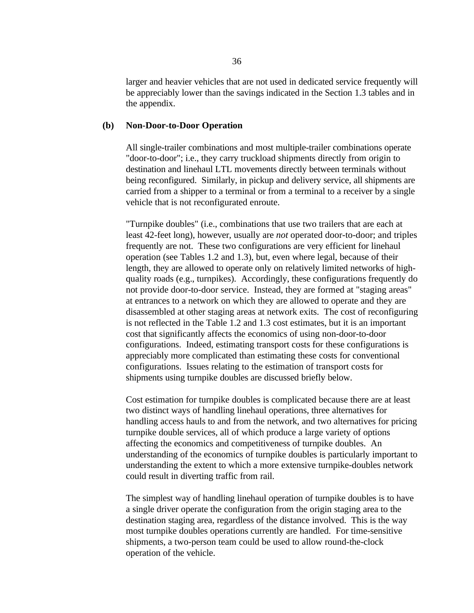larger and heavier vehicles that are not used in dedicated service frequently will be appreciably lower than the savings indicated in the Section 1.3 tables and in the appendix.

#### **(b) Non-Door-to-Door Operation**

All single-trailer combinations and most multiple-trailer combinations operate "door-to-door"; i.e., they carry truckload shipments directly from origin to destination and linehaul LTL movements directly between terminals without being reconfigured. Similarly, in pickup and delivery service, all shipments are carried from a shipper to a terminal or from a terminal to a receiver by a single vehicle that is not reconfigurated enroute.

"Turnpike doubles" (i.e., combinations that use two trailers that are each at least 42-feet long), however, usually are *not* operated door-to-door; and triples frequently are not. These two configurations are very efficient for linehaul operation (see Tables 1.2 and 1.3), but, even where legal, because of their length, they are allowed to operate only on relatively limited networks of highquality roads (e.g., turnpikes). Accordingly, these configurations frequently do not provide door-to-door service. Instead, they are formed at "staging areas" at entrances to a network on which they are allowed to operate and they are disassembled at other staging areas at network exits. The cost of reconfiguring is not reflected in the Table 1.2 and 1.3 cost estimates, but it is an important cost that significantly affects the economics of using non-door-to-door configurations. Indeed, estimating transport costs for these configurations is appreciably more complicated than estimating these costs for conventional configurations. Issues relating to the estimation of transport costs for shipments using turnpike doubles are discussed briefly below.

Cost estimation for turnpike doubles is complicated because there are at least two distinct ways of handling linehaul operations, three alternatives for handling access hauls to and from the network, and two alternatives for pricing turnpike double services, all of which produce a large variety of options affecting the economics and competitiveness of turnpike doubles. An understanding of the economics of turnpike doubles is particularly important to understanding the extent to which a more extensive turnpike-doubles network could result in diverting traffic from rail.

The simplest way of handling linehaul operation of turnpike doubles is to have a single driver operate the configuration from the origin staging area to the destination staging area, regardless of the distance involved. This is the way most turnpike doubles operations currently are handled. For time-sensitive shipments, a two-person team could be used to allow round-the-clock operation of the vehicle.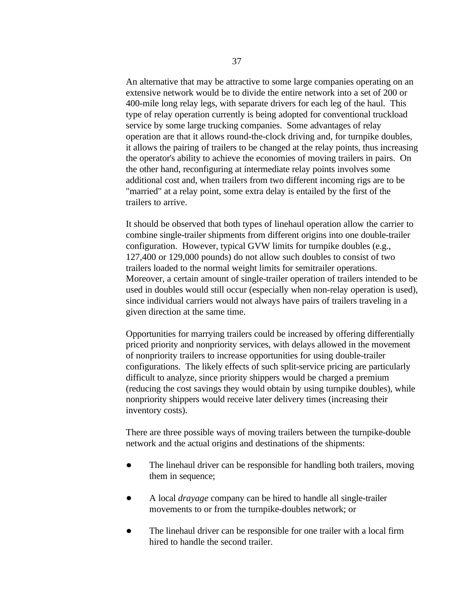An alternative that may be attractive to some large companies operating on an extensive network would be to divide the entire network into a set of 200 or 400-mile long relay legs, with separate drivers for each leg of the haul. This type of relay operation currently is being adopted for conventional truckload service by some large trucking companies. Some advantages of relay operation are that it allows round-the-clock driving and, for turnpike doubles, it allows the pairing of trailers to be changed at the relay points, thus increasing the operator's ability to achieve the economies of moving trailers in pairs. On the other hand, reconfiguring at intermediate relay points involves some additional cost and, when trailers from two different incoming rigs are to be "married" at a relay point, some extra delay is entailed by the first of the trailers to arrive.

It should be observed that both types of linehaul operation allow the carrier to combine single-trailer shipments from different origins into one double-trailer configuration. However, typical GVW limits for turnpike doubles (e.g., 127,400 or 129,000 pounds) do not allow such doubles to consist of two trailers loaded to the normal weight limits for semitrailer operations. Moreover, a certain amount of single-trailer operation of trailers intended to be used in doubles would still occur (especially when non-relay operation is used), since individual carriers would not always have pairs of trailers traveling in a given direction at the same time.

Opportunities for marrying trailers could be increased by offering differentially priced priority and nonpriority services, with delays allowed in the movement of nonpriority trailers to increase opportunities for using double-trailer configurations. The likely effects of such split-service pricing are particularly difficult to analyze, since priority shippers would be charged a premium (reducing the cost savings they would obtain by using turnpike doubles), while nonpriority shippers would receive later delivery times (increasing their inventory costs).

There are three possible ways of moving trailers between the turnpike-double network and the actual origins and destinations of the shipments:

- $\bullet$ The linehaul driver can be responsible for handling both trailers, moving them in sequence;
- $\bullet$ A local *drayage* company can be hired to handle all single-trailer movements to or from the turnpike-doubles network; or
- $\bullet$ The linehaul driver can be responsible for one trailer with a local firm hired to handle the second trailer.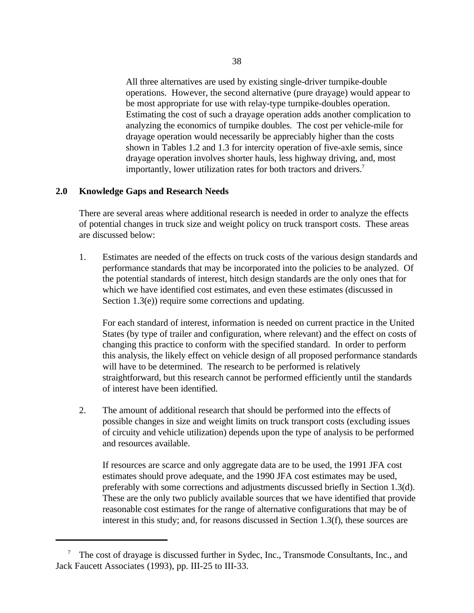All three alternatives are used by existing single-driver turnpike-double operations. However, the second alternative (pure drayage) would appear to be most appropriate for use with relay-type turnpike-doubles operation. Estimating the cost of such a drayage operation adds another complication to analyzing the economics of turnpike doubles. The cost per vehicle-mile for drayage operation would necessarily be appreciably higher than the costs shown in Tables 1.2 and 1.3 for intercity operation of five-axle semis, since drayage operation involves shorter hauls, less highway driving, and, most importantly, lower utilization rates for both tractors and drivers.<sup>7</sup>

#### **2.0 Knowledge Gaps and Research Needs**

There are several areas where additional research is needed in order to analyze the effects of potential changes in truck size and weight policy on truck transport costs. These areas are discussed below:

1. Estimates are needed of the effects on truck costs of the various design standards and performance standards that may be incorporated into the policies to be analyzed. Of the potential standards of interest, hitch design standards are the only ones that for which we have identified cost estimates, and even these estimates (discussed in Section 1.3(e)) require some corrections and updating.

For each standard of interest, information is needed on current practice in the United States (by type of trailer and configuration, where relevant) and the effect on costs of changing this practice to conform with the specified standard. In order to perform this analysis, the likely effect on vehicle design of all proposed performance standards will have to be determined. The research to be performed is relatively straightforward, but this research cannot be performed efficiently until the standards of interest have been identified.

2. The amount of additional research that should be performed into the effects of possible changes in size and weight limits on truck transport costs (excluding issues of circuity and vehicle utilization) depends upon the type of analysis to be performed and resources available.

If resources are scarce and only aggregate data are to be used, the 1991 JFA cost estimates should prove adequate, and the 1990 JFA cost estimates may be used, preferably with some corrections and adjustments discussed briefly in Section 1.3(d). These are the only two publicly available sources that we have identified that provide reasonable cost estimates for the range of alternative configurations that may be of interest in this study; and, for reasons discussed in Section 1.3(f), these sources are

 $^7$  The cost of drayage is discussed further in Sydec, Inc., Transmode Consultants, Inc., and Jack Faucett Associates (1993), pp. III-25 to III-33.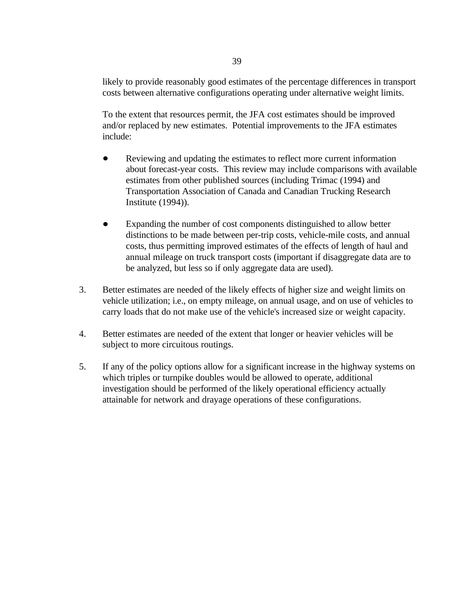likely to provide reasonably good estimates of the percentage differences in transport costs between alternative configurations operating under alternative weight limits.

To the extent that resources permit, the JFA cost estimates should be improved and/or replaced by new estimates. Potential improvements to the JFA estimates include:

- Reviewing and updating the estimates to reflect more current information about forecast-year costs. This review may include comparisons with available estimates from other published sources (including Trimac (1994) and Transportation Association of Canada and Canadian Trucking Research Institute (1994)).
- Expanding the number of cost components distinguished to allow better distinctions to be made between per-trip costs, vehicle-mile costs, and annual costs, thus permitting improved estimates of the effects of length of haul and annual mileage on truck transport costs (important if disaggregate data are to be analyzed, but less so if only aggregate data are used).
- 3. Better estimates are needed of the likely effects of higher size and weight limits on vehicle utilization; i.e., on empty mileage, on annual usage, and on use of vehicles to carry loads that do not make use of the vehicle's increased size or weight capacity.
- 4. Better estimates are needed of the extent that longer or heavier vehicles will be subject to more circuitous routings.
- 5. If any of the policy options allow for a significant increase in the highway systems on which triples or turnpike doubles would be allowed to operate, additional investigation should be performed of the likely operational efficiency actually attainable for network and drayage operations of these configurations.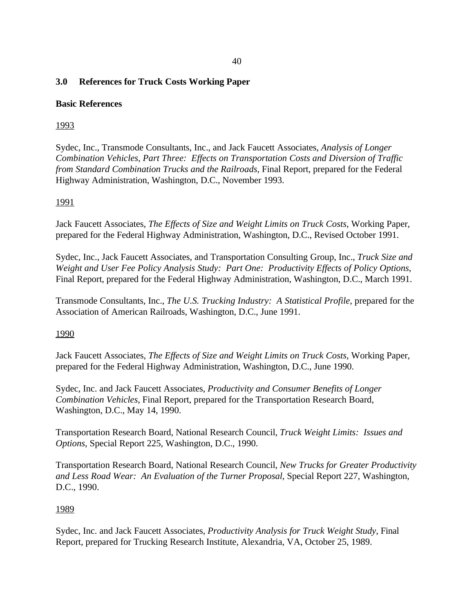### **3.0 References for Truck Costs Working Paper**

#### **Basic References**

### 1993

Sydec, Inc., Transmode Consultants, Inc., and Jack Faucett Associates, *Analysis of Longer Combination Vehicles, Part Three: Effects on Transportation Costs and Diversion of Traffic from Standard Combination Trucks and the Railroads*, Final Report, prepared for the Federal Highway Administration, Washington, D.C., November 1993.

#### 1991

Jack Faucett Associates, *The Effects of Size and Weight Limits on Truck Costs*, Working Paper, prepared for the Federal Highway Administration, Washington, D.C., Revised October 1991.

Sydec, Inc., Jack Faucett Associates, and Transportation Consulting Group, Inc., *Truck Size and Weight and User Fee Policy Analysis Study: Part One: Productivity Effects of Policy Options*, Final Report, prepared for the Federal Highway Administration, Washington, D.C., March 1991.

Transmode Consultants, Inc., *The U.S. Trucking Industry: A Statistical Profile*, prepared for the Association of American Railroads, Washington, D.C., June 1991.

#### 1990

Jack Faucett Associates, *The Effects of Size and Weight Limits on Truck Costs*, Working Paper, prepared for the Federal Highway Administration, Washington, D.C., June 1990.

Sydec, Inc. and Jack Faucett Associates, *Productivity and Consumer Benefits of Longer Combination Vehicles*, Final Report, prepared for the Transportation Research Board, Washington, D.C., May 14, 1990.

Transportation Research Board, National Research Council, *Truck Weight Limits: Issues and Options*, Special Report 225, Washington, D.C., 1990.

Transportation Research Board, National Research Council, *New Trucks for Greater Productivity and Less Road Wear: An Evaluation of the Turner Proposal*, Special Report 227, Washington, D.C., 1990.

#### 1989

Sydec, Inc. and Jack Faucett Associates, *Productivity Analysis for Truck Weight Study*, Final Report, prepared for Trucking Research Institute, Alexandria, VA, October 25, 1989.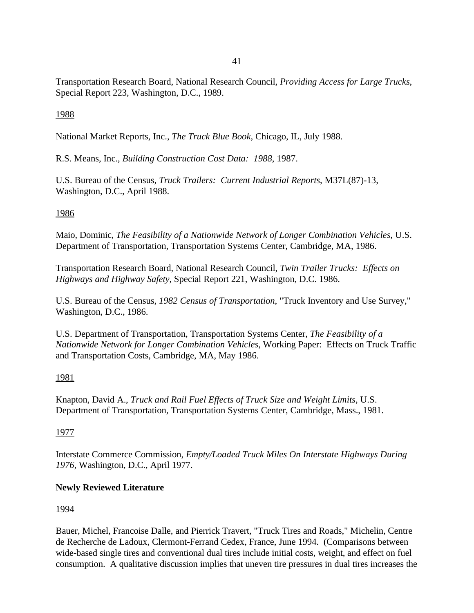Transportation Research Board, National Research Council, *Providing Access for Large Trucks*, Special Report 223, Washington, D.C., 1989.

## 1988

National Market Reports, Inc., *The Truck Blue Book*, Chicago, IL, July 1988.

R.S. Means, Inc., *Building Construction Cost Data: 1988*, 1987.

U.S. Bureau of the Census, *Truck Trailers: Current Industrial Reports*, M37L(87)-13, Washington, D.C., April 1988.

### 1986

Maio, Dominic, *The Feasibility of a Nationwide Network of Longer Combination Vehicles*, U.S. Department of Transportation, Transportation Systems Center, Cambridge, MA, 1986.

Transportation Research Board, National Research Council, *Twin Trailer Trucks: Effects on Highways and Highway Safety*, Special Report 221, Washington, D.C. 1986.

U.S. Bureau of the Census, *1982 Census of Transportation*, "Truck Inventory and Use Survey," Washington, D.C., 1986.

U.S. Department of Transportation, Transportation Systems Center, *The Feasibility of a Nationwide Network for Longer Combination Vehicles*, Working Paper: Effects on Truck Traffic and Transportation Costs, Cambridge, MA, May 1986.

## 1981

Knapton, David A., *Truck and Rail Fuel Effects of Truck Size and Weight Limits*, U.S. Department of Transportation, Transportation Systems Center, Cambridge, Mass., 1981.

## 1977

Interstate Commerce Commission, *Empty/Loaded Truck Miles On Interstate Highways During 1976*, Washington, D.C., April 1977.

## **Newly Reviewed Literature**

1994

Bauer, Michel, Francoise Dalle, and Pierrick Travert, "Truck Tires and Roads," Michelin, Centre de Recherche de Ladoux, Clermont-Ferrand Cedex, France, June 1994. (Comparisons between wide-based single tires and conventional dual tires include initial costs, weight, and effect on fuel consumption. A qualitative discussion implies that uneven tire pressures in dual tires increases the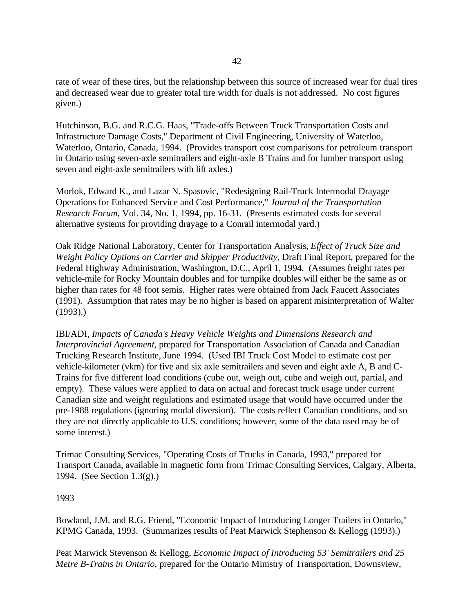rate of wear of these tires, but the relationship between this source of increased wear for dual tires and decreased wear due to greater total tire width for duals is not addressed. No cost figures given.)

Hutchinson, B.G. and R.C.G. Haas, "Trade-offs Between Truck Transportation Costs and Infrastructure Damage Costs," Department of Civil Engineering, University of Waterloo, Waterloo, Ontario, Canada, 1994. (Provides transport cost comparisons for petroleum transport in Ontario using seven-axle semitrailers and eight-axle B Trains and for lumber transport using seven and eight-axle semitrailers with lift axles.)

Morlok, Edward K., and Lazar N. Spasovic, "Redesigning Rail-Truck Intermodal Drayage Operations for Enhanced Service and Cost Performance," *Journal of the Transportation Research Forum*, Vol. 34, No. 1, 1994, pp. 16-31. (Presents estimated costs for several alternative systems for providing drayage to a Conrail intermodal yard.)

Oak Ridge National Laboratory, Center for Transportation Analysis, *Effect of Truck Size and Weight Policy Options on Carrier and Shipper Productivity*, Draft Final Report, prepared for the Federal Highway Administration, Washington, D.C., April 1, 1994. (Assumes freight rates per vehicle-mile for Rocky Mountain doubles and for turnpike doubles will either be the same as or higher than rates for 48 foot semis. Higher rates were obtained from Jack Faucett Associates (1991). Assumption that rates may be no higher is based on apparent misinterpretation of Walter (1993).)

IBI/ADI, *Impacts of Canada's Heavy Vehicle Weights and Dimensions Research and Interprovincial Agreement*, prepared for Transportation Association of Canada and Canadian Trucking Research Institute, June 1994. (Used IBI Truck Cost Model to estimate cost per vehicle-kilometer (vkm) for five and six axle semitrailers and seven and eight axle A, B and C-Trains for five different load conditions (cube out, weigh out, cube and weigh out, partial, and empty). These values were applied to data on actual and forecast truck usage under current Canadian size and weight regulations and estimated usage that would have occurred under the pre-1988 regulations (ignoring modal diversion). The costs reflect Canadian conditions, and so they are not directly applicable to U.S. conditions; however, some of the data used may be of some interest.)

Trimac Consulting Services, "Operating Costs of Trucks in Canada, 1993," prepared for Transport Canada, available in magnetic form from Trimac Consulting Services, Calgary, Alberta, 1994. (See Section 1.3(g).)

#### 1993

Bowland, J.M. and R.G. Friend, "Economic Impact of Introducing Longer Trailers in Ontario," KPMG Canada, 1993. (Summarizes results of Peat Marwick Stephenson & Kellogg (1993).)

Peat Marwick Stevenson & Kellogg, *Economic Impact of Introducing 53' Semitrailers and 25 Metre B-Trains in Ontario*, prepared for the Ontario Ministry of Transportation, Downsview,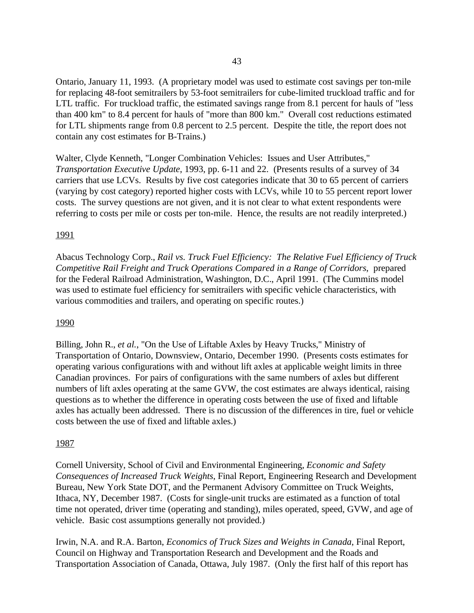Ontario, January 11, 1993. (A proprietary model was used to estimate cost savings per ton-mile for replacing 48-foot semitrailers by 53-foot semitrailers for cube-limited truckload traffic and for LTL traffic. For truckload traffic, the estimated savings range from 8.1 percent for hauls of "less than 400 km" to 8.4 percent for hauls of "more than 800 km." Overall cost reductions estimated for LTL shipments range from 0.8 percent to 2.5 percent. Despite the title, the report does not contain any cost estimates for B-Trains.)

Walter, Clyde Kenneth, "Longer Combination Vehicles: Issues and User Attributes," *Transportation Executive Update*, 1993, pp. 6-11 and 22. (Presents results of a survey of 34 carriers that use LCVs. Results by five cost categories indicate that 30 to 65 percent of carriers (varying by cost category) reported higher costs with LCVs, while 10 to 55 percent report lower costs. The survey questions are not given, and it is not clear to what extent respondents were referring to costs per mile or costs per ton-mile. Hence, the results are not readily interpreted.)

#### 1991

Abacus Technology Corp., *Rail vs. Truck Fuel Efficiency: The Relative Fuel Efficiency of Truck Competitive Rail Freight and Truck Operations Compared in a Range of Corridors*, prepared for the Federal Railroad Administration, Washington, D.C., April 1991. (The Cummins model was used to estimate fuel efficiency for semitrailers with specific vehicle characteristics, with various commodities and trailers, and operating on specific routes.)

#### 1990

Billing, John R., *et al.*, "On the Use of Liftable Axles by Heavy Trucks," Ministry of Transportation of Ontario, Downsview, Ontario, December 1990. (Presents costs estimates for operating various configurations with and without lift axles at applicable weight limits in three Canadian provinces. For pairs of configurations with the same numbers of axles but different numbers of lift axles operating at the same GVW, the cost estimates are always identical, raising questions as to whether the difference in operating costs between the use of fixed and liftable axles has actually been addressed. There is no discussion of the differences in tire, fuel or vehicle costs between the use of fixed and liftable axles.)

#### 1987

Cornell University, School of Civil and Environmental Engineering, *Economic and Safety Consequences of Increased Truck Weights*, Final Report, Engineering Research and Development Bureau, New York State DOT, and the Permanent Advisory Committee on Truck Weights, Ithaca, NY, December 1987. (Costs for single-unit trucks are estimated as a function of total time not operated, driver time (operating and standing), miles operated, speed, GVW, and age of vehicle. Basic cost assumptions generally not provided.)

Irwin, N.A. and R.A. Barton, *Economics of Truck Sizes and Weights in Canada*, Final Report, Council on Highway and Transportation Research and Development and the Roads and Transportation Association of Canada, Ottawa, July 1987. (Only the first half of this report has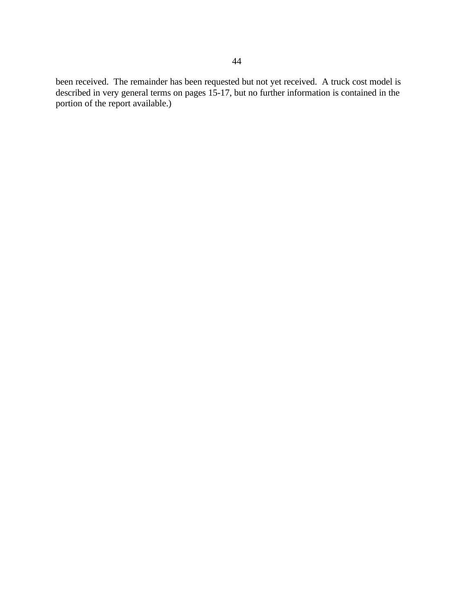been received. The remainder has been requested but not yet received. A truck cost model is described in very general terms on pages 15-17, but no further information is contained in the portion of the report available.)